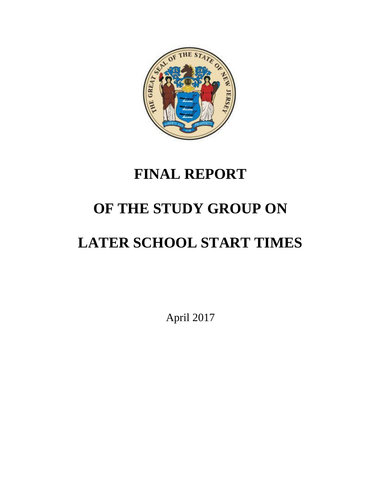

# **FINAL REPORT**

# **OF THE STUDY GROUP ON**

# **LATER SCHOOL START TIMES**

April 2017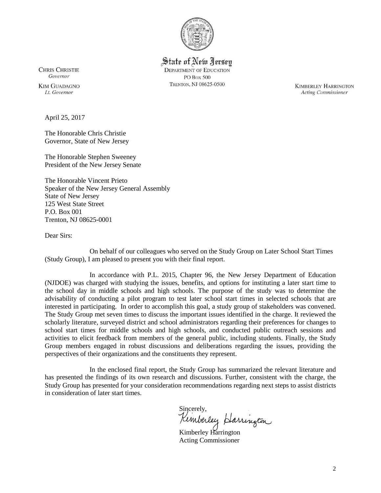

State of New Jersey **DEPARTMENT OF EDUCATION PO Box 500** TRENTON, NJ 08625-0500

**CHRIS CHRISTIE** Governor

**KIM GUADAGNO** Lt. Governor

April 25, 2017

The Honorable Chris Christie Governor, State of New Jersey

The Honorable Stephen Sweeney President of the New Jersey Senate

The Honorable Vincent Prieto Speaker of the New Jersey General Assembly State of New Jersey 125 West State Street P.O. Box 001 Trenton, NJ 08625-0001

Dear Sirs:

On behalf of our colleagues who served on the Study Group on Later School Start Times (Study Group), I am pleased to present you with their final report.

In accordance with P.L. 2015, Chapter 96, the New Jersey Department of Education (NJDOE) was charged with studying the issues, benefits, and options for instituting a later start time to the school day in middle schools and high schools. The purpose of the study was to determine the advisability of conducting a pilot program to test later school start times in selected schools that are interested in participating. In order to accomplish this goal, a study group of stakeholders was convened. The Study Group met seven times to discuss the important issues identified in the charge. It reviewed the scholarly literature, surveyed district and school administrators regarding their preferences for changes to school start times for middle schools and high schools, and conducted public outreach sessions and activities to elicit feedback from members of the general public, including students. Finally, the Study Group members engaged in robust discussions and deliberations regarding the issues, providing the perspectives of their organizations and the constituents they represent.

In the enclosed final report, the Study Group has summarized the relevant literature and has presented the findings of its own research and discussions. Further, consistent with the charge, the Study Group has presented for your consideration recommendations regarding next steps to assist districts in consideration of later start times.

Sincerely,<br>Kemberley Harrington

Kimberley Harrington Acting Commissioner

**KIMBERLEY HARRINGTON Acting Commissioner**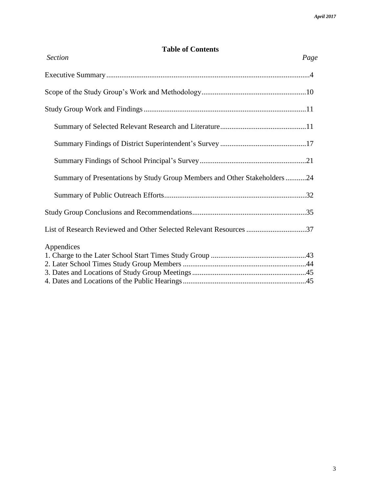# **Table of Contents**

| <b>Section</b><br>Page                                                   |  |
|--------------------------------------------------------------------------|--|
|                                                                          |  |
|                                                                          |  |
|                                                                          |  |
|                                                                          |  |
|                                                                          |  |
|                                                                          |  |
| Summary of Presentations by Study Group Members and Other Stakeholders24 |  |
|                                                                          |  |
|                                                                          |  |
| List of Research Reviewed and Other Selected Relevant Resources 37       |  |
| Appendices                                                               |  |
|                                                                          |  |
|                                                                          |  |
|                                                                          |  |
|                                                                          |  |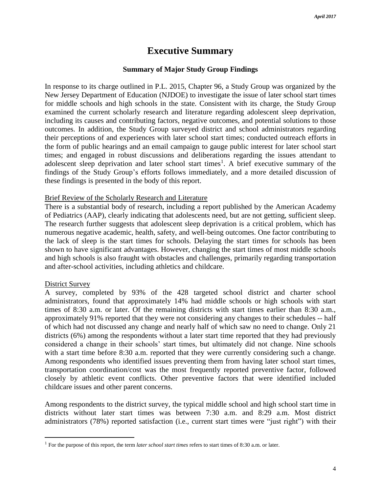# **Executive Summary**

#### **Summary of Major Study Group Findings**

In response to its charge outlined in P.L. 2015, Chapter 96, a Study Group was organized by the New Jersey Department of Education (NJDOE) to investigate the issue of later school start times for middle schools and high schools in the state. Consistent with its charge, the Study Group examined the current scholarly research and literature regarding adolescent sleep deprivation, including its causes and contributing factors, negative outcomes, and potential solutions to those outcomes. In addition, the Study Group surveyed district and school administrators regarding their perceptions of and experiences with later school start times; conducted outreach efforts in the form of public hearings and an email campaign to gauge public interest for later school start times; and engaged in robust discussions and deliberations regarding the issues attendant to adolescent sleep deprivation and later school start times<sup>1</sup>. A brief executive summary of the findings of the Study Group's efforts follows immediately, and a more detailed discussion of these findings is presented in the body of this report.

#### Brief Review of the Scholarly Research and Literature

There is a substantial body of research, including a report published by the American Academy of Pediatrics (AAP), clearly indicating that adolescents need, but are not getting, sufficient sleep. The research further suggests that adolescent sleep deprivation is a critical problem, which has numerous negative academic, health, safety, and well-being outcomes. One factor contributing to the lack of sleep is the start times for schools. Delaying the start times for schools has been shown to have significant advantages. However, changing the start times of most middle schools and high schools is also fraught with obstacles and challenges, primarily regarding transportation and after-school activities, including athletics and childcare.

#### District Survey

 $\overline{a}$ 

A survey, completed by 93% of the 428 targeted school district and charter school administrators, found that approximately 14% had middle schools or high schools with start times of 8:30 a.m. or later. Of the remaining districts with start times earlier than 8:30 a.m., approximately 91% reported that they were not considering any changes to their schedules -- half of which had not discussed any change and nearly half of which saw no need to change. Only 21 districts (6%) among the respondents without a later start time reported that they had previously considered a change in their schools' start times, but ultimately did not change. Nine schools with a start time before 8:30 a.m. reported that they were currently considering such a change. Among respondents who identified issues preventing them from having later school start times, transportation coordination/cost was the most frequently reported preventive factor, followed closely by athletic event conflicts. Other preventive factors that were identified included childcare issues and other parent concerns.

Among respondents to the district survey, the typical middle school and high school start time in districts without later start times was between 7:30 a.m. and 8:29 a.m. Most district administrators (78%) reported satisfaction (i.e., current start times were "just right") with their

<sup>&</sup>lt;sup>1</sup> For the purpose of this report, the term *later school start times* refers to start times of 8:30 a.m. or later.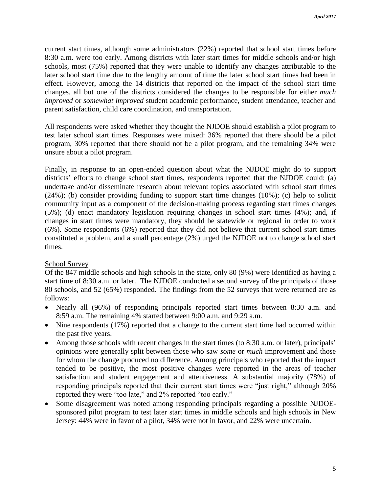current start times, although some administrators (22%) reported that school start times before 8:30 a.m. were too early. Among districts with later start times for middle schools and/or high schools, most (75%) reported that they were unable to identify any changes attributable to the later school start time due to the lengthy amount of time the later school start times had been in effect. However, among the 14 districts that reported on the impact of the school start time changes, all but one of the districts considered the changes to be responsible for either *much improved* or *somewhat improved* student academic performance, student attendance, teacher and parent satisfaction, child care coordination, and transportation.

All respondents were asked whether they thought the NJDOE should establish a pilot program to test later school start times. Responses were mixed: 36% reported that there should be a pilot program, 30% reported that there should not be a pilot program, and the remaining 34% were unsure about a pilot program.

Finally, in response to an open-ended question about what the NJDOE might do to support districts' efforts to change school start times, respondents reported that the NJDOE could: (a) undertake and/or disseminate research about relevant topics associated with school start times (24%); (b) consider providing funding to support start time changes (10%); (c) help to solicit community input as a component of the decision-making process regarding start times changes (5%); (d) enact mandatory legislation requiring changes in school start times (4%); and, if changes in start times were mandatory, they should be statewide or regional in order to work (6%). Some respondents (6%) reported that they did not believe that current school start times constituted a problem, and a small percentage (2%) urged the NJDOE not to change school start times.

## School Survey

Of the 847 middle schools and high schools in the state, only 80 (9%) were identified as having a start time of 8:30 a.m. or later. The NJDOE conducted a second survey of the principals of those 80 schools, and 52 (65%) responded. The findings from the 52 surveys that were returned are as follows:

- Nearly all (96%) of responding principals reported start times between 8:30 a.m. and 8:59 a.m. The remaining 4% started between 9:00 a.m. and 9:29 a.m.
- Nine respondents (17%) reported that a change to the current start time had occurred within the past five years.
- Among those schools with recent changes in the start times (to 8:30 a.m. or later), principals' opinions were generally split between those who saw *some* or *much* improvement and those for whom the change produced no difference. Among principals who reported that the impact tended to be positive, the most positive changes were reported in the areas of teacher satisfaction and student engagement and attentiveness. A substantial majority (78%) of responding principals reported that their current start times were "just right," although 20% reported they were "too late," and 2% reported "too early."
- Some disagreement was noted among responding principals regarding a possible NJDOEsponsored pilot program to test later start times in middle schools and high schools in New Jersey: 44% were in favor of a pilot, 34% were not in favor, and 22% were uncertain.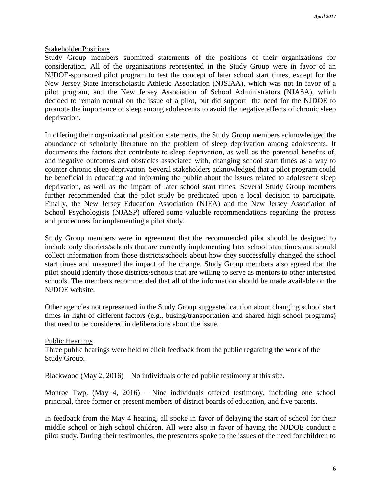### Stakeholder Positions

Study Group members submitted statements of the positions of their organizations for consideration. All of the organizations represented in the Study Group were in favor of an NJDOE-sponsored pilot program to test the concept of later school start times, except for the New Jersey State Interscholastic Athletic Association (NJSIAA), which was not in favor of a pilot program, and the New Jersey Association of School Administrators (NJASA), which decided to remain neutral on the issue of a pilot, but did support the need for the NJDOE to promote the importance of sleep among adolescents to avoid the negative effects of chronic sleep deprivation.

In offering their organizational position statements, the Study Group members acknowledged the abundance of scholarly literature on the problem of sleep deprivation among adolescents. It documents the factors that contribute to sleep deprivation, as well as the potential benefits of, and negative outcomes and obstacles associated with, changing school start times as a way to counter chronic sleep deprivation. Several stakeholders acknowledged that a pilot program could be beneficial in educating and informing the public about the issues related to adolescent sleep deprivation, as well as the impact of later school start times. Several Study Group members further recommended that the pilot study be predicated upon a local decision to participate. Finally, the New Jersey Education Association (NJEA) and the New Jersey Association of School Psychologists (NJASP) offered some valuable recommendations regarding the process and procedures for implementing a pilot study.

Study Group members were in agreement that the recommended pilot should be designed to include only districts/schools that are currently implementing later school start times and should collect information from those districts/schools about how they successfully changed the school start times and measured the impact of the change. Study Group members also agreed that the pilot should identify those districts/schools that are willing to serve as mentors to other interested schools. The members recommended that all of the information should be made available on the NJDOE website.

Other agencies not represented in the Study Group suggested caution about changing school start times in light of different factors (e.g., busing/transportation and shared high school programs) that need to be considered in deliberations about the issue.

#### Public Hearings

Three public hearings were held to elicit feedback from the public regarding the work of the Study Group.

Blackwood (May 2, 2016) – No individuals offered public testimony at this site.

Monroe Twp. (May 4, 2016) – Nine individuals offered testimony, including one school principal, three former or present members of district boards of education, and five parents.

In feedback from the May 4 hearing, all spoke in favor of delaying the start of school for their middle school or high school children. All were also in favor of having the NJDOE conduct a pilot study. During their testimonies, the presenters spoke to the issues of the need for children to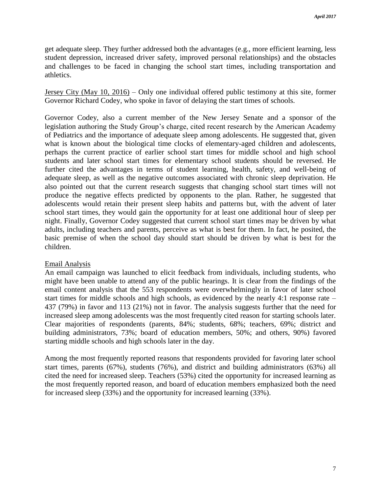get adequate sleep. They further addressed both the advantages (e.g., more efficient learning, less student depression, increased driver safety, improved personal relationships) and the obstacles and challenges to be faced in changing the school start times, including transportation and athletics.

Jersey City (May 10, 2016) – Only one individual offered public testimony at this site, former Governor Richard Codey, who spoke in favor of delaying the start times of schools.

Governor Codey, also a current member of the New Jersey Senate and a sponsor of the legislation authoring the Study Group's charge, cited recent research by the American Academy of Pediatrics and the importance of adequate sleep among adolescents. He suggested that, given what is known about the biological time clocks of elementary-aged children and adolescents, perhaps the current practice of earlier school start times for middle school and high school students and later school start times for elementary school students should be reversed. He further cited the advantages in terms of student learning, health, safety, and well-being of adequate sleep, as well as the negative outcomes associated with chronic sleep deprivation. He also pointed out that the current research suggests that changing school start times will not produce the negative effects predicted by opponents to the plan. Rather, he suggested that adolescents would retain their present sleep habits and patterns but, with the advent of later school start times, they would gain the opportunity for at least one additional hour of sleep per night. Finally, Governor Codey suggested that current school start times may be driven by what adults, including teachers and parents, perceive as what is best for them. In fact, he posited, the basic premise of when the school day should start should be driven by what is best for the children.

## Email Analysis

An email campaign was launched to elicit feedback from individuals, including students, who might have been unable to attend any of the public hearings. It is clear from the findings of the email content analysis that the 553 respondents were overwhelmingly in favor of later school start times for middle schools and high schools, as evidenced by the nearly 4:1 response rate – 437 (79%) in favor and 113 (21%) not in favor. The analysis suggests further that the need for increased sleep among adolescents was the most frequently cited reason for starting schools later. Clear majorities of respondents (parents, 84%; students, 68%; teachers, 69%; district and building administrators, 73%; board of education members, 50%; and others, 90%) favored starting middle schools and high schools later in the day.

Among the most frequently reported reasons that respondents provided for favoring later school start times, parents (67%), students (76%), and district and building administrators (63%) all cited the need for increased sleep. Teachers (53%) cited the opportunity for increased learning as the most frequently reported reason, and board of education members emphasized both the need for increased sleep (33%) and the opportunity for increased learning (33%).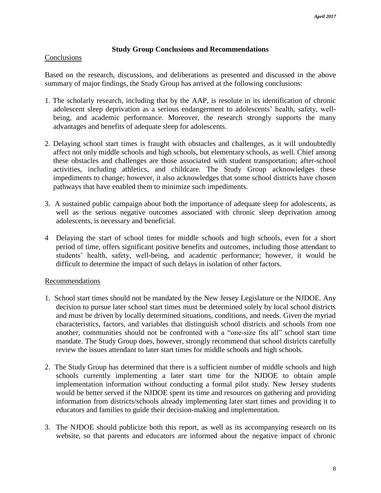## **Study Group Conclusions and Recommendations**

## **Conclusions**

Based on the research, discussions, and deliberations as presented and discussed in the above summary of major findings, the Study Group has arrived at the following conclusions:

- 1. The scholarly research, including that by the AAP, is resolute in its identification of chronic adolescent sleep deprivation as a serious endangerment to adolescents' health, safety, wellbeing, and academic performance. Moreover, the research strongly supports the many advantages and benefits of adequate sleep for adolescents.
- 2. Delaying school start times is fraught with obstacles and challenges, as it will undoubtedly affect not only middle schools and high schools, but elementary schools, as well. Chief among these obstacles and challenges are those associated with student transportation; after-school activities, including athletics, and childcare. The Study Group acknowledges these impediments to change; however, it also acknowledges that some school districts have chosen pathways that have enabled them to minimize such impediments.
- 3. A sustained public campaign about both the importance of adequate sleep for adolescents, as well as the serious negative outcomes associated with chronic sleep deprivation among adolescents, is necessary and beneficial.
- 4 Delaying the start of school times for middle schools and high schools, even for a short period of time, offers significant positive benefits and outcomes, including those attendant to students' health, safety, well-being, and academic performance; however, it would be difficult to determine the impact of such delays in isolation of other factors.

## Recommendations

- 1. School start times should not be mandated by the New Jersey Legislature or the NJDOE. Any decision to pursue later school start times must be determined solely by local school districts and must be driven by locally determined situations, conditions, and needs. Given the myriad characteristics, factors, and variables that distinguish school districts and schools from one another, communities should not be confronted with a "one-size fits all" school start time mandate. The Study Group does, however, strongly recommend that school districts carefully review the issues attendant to later start times for middle schools and high schools.
- 2. The Study Group has determined that there is a sufficient number of middle schools and high schools currently implementing a later start time for the NJDOE to obtain ample implementation information without conducting a formal pilot study. New Jersey students would be better served if the NJDOE spent its time and resources on gathering and providing information from districts/schools already implementing later start times and providing it to educators and families to guide their decision-making and implementation.
- 3. The NJDOE should publicize both this report, as well as its accompanying research on its website, so that parents and educators are informed about the negative impact of chronic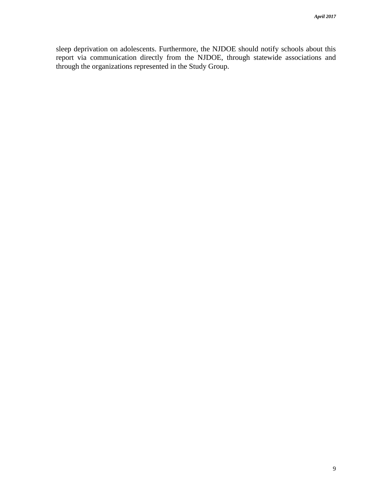sleep deprivation on adolescents. Furthermore, the NJDOE should notify schools about this report via communication directly from the NJDOE, through statewide associations and through the organizations represented in the Study Group.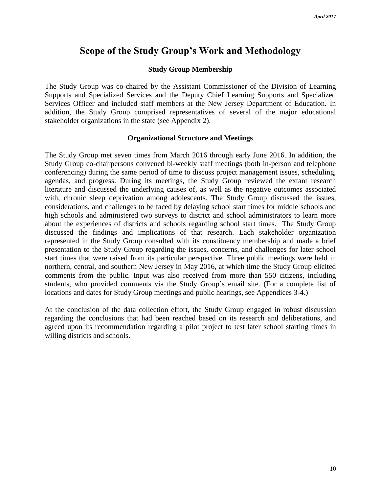# **Scope of the Study Group's Work and Methodology**

#### **Study Group Membership**

The Study Group was co-chaired by the Assistant Commissioner of the Division of Learning Supports and Specialized Services and the Deputy Chief Learning Supports and Specialized Services Officer and included staff members at the New Jersey Department of Education. In addition, the Study Group comprised representatives of several of the major educational stakeholder organizations in the state (see Appendix 2).

#### **Organizational Structure and Meetings**

The Study Group met seven times from March 2016 through early June 2016. In addition, the Study Group co-chairpersons convened bi-weekly staff meetings (both in-person and telephone conferencing) during the same period of time to discuss project management issues, scheduling, agendas, and progress. During its meetings, the Study Group reviewed the extant research literature and discussed the underlying causes of, as well as the negative outcomes associated with, chronic sleep deprivation among adolescents. The Study Group discussed the issues, considerations, and challenges to be faced by delaying school start times for middle schools and high schools and administered two surveys to district and school administrators to learn more about the experiences of districts and schools regarding school start times. The Study Group discussed the findings and implications of that research. Each stakeholder organization represented in the Study Group consulted with its constituency membership and made a brief presentation to the Study Group regarding the issues, concerns, and challenges for later school start times that were raised from its particular perspective. Three public meetings were held in northern, central, and southern New Jersey in May 2016, at which time the Study Group elicited comments from the public. Input was also received from more than 550 citizens, including students, who provided comments via the Study Group's email site. (For a complete list of locations and dates for Study Group meetings and public hearings, see Appendices 3-4.)

At the conclusion of the data collection effort, the Study Group engaged in robust discussion regarding the conclusions that had been reached based on its research and deliberations, and agreed upon its recommendation regarding a pilot project to test later school starting times in willing districts and schools.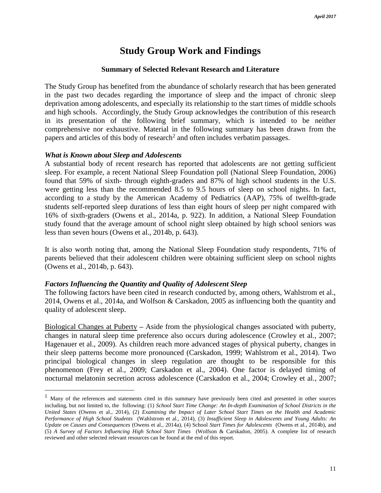# **Study Group Work and Findings**

#### **Summary of Selected Relevant Research and Literature**

The Study Group has benefited from the abundance of scholarly research that has been generated in the past two decades regarding the importance of sleep and the impact of chronic sleep deprivation among adolescents, and especially its relationship to the start times of middle schools and high schools. Accordingly, the Study Group acknowledges the contribution of this research in its presentation of the following brief summary, which is intended to be neither comprehensive nor exhaustive. Material in the following summary has been drawn from the papers and articles of this body of research<sup>2</sup> and often includes verbatim passages.

#### *What is Known about Sleep and Adolescents*

 $\overline{a}$ 

A substantial body of recent research has reported that adolescents are not getting sufficient sleep. For example, a recent National Sleep Foundation poll (National Sleep Foundation, 2006) found that 59% of sixth- through eighth-graders and 87% of high school students in the U.S. were getting less than the recommended 8.5 to 9.5 hours of sleep on school nights. In fact, according to a study by the American Academy of Pediatrics (AAP), 75% of twelfth-grade students self-reported sleep durations of less than eight hours of sleep per night compared with 16% of sixth-graders (Owens et al., 2014a, p. 922). In addition, a National Sleep Foundation study found that the average amount of school night sleep obtained by high school seniors was less than seven hours (Owens et al., 2014b, p. 643).

It is also worth noting that, among the National Sleep Foundation study respondents, 71% of parents believed that their adolescent children were obtaining sufficient sleep on school nights (Owens et al., 2014b, p. 643).

#### *Factors Influencing the Quantity and Quality of Adolescent Sleep*

The following factors have been cited in research conducted by, among others, Wahlstrom et al., 2014, Owens et al., 2014a, and Wolfson & Carskadon, 2005 as influencing both the quantity and quality of adolescent sleep.

Biological Changes at Puberty **–** Aside from the physiological changes associated with puberty, changes in natural sleep time preference also occurs during adolescence (Crowley et al., 2007; Hagenauer et al., 2009). As children reach more advanced stages of physical puberty, changes in their sleep patterns become more pronounced (Carskadon, 1999; Wahlstrom et al., 2014). Two principal biological changes in sleep regulation are thought to be responsible for this phenomenon (Frey et al., 2009; Carskadon et al., 2004). One factor is delayed timing of nocturnal melatonin secretion across adolescence (Carskadon et al., 2004; Crowley et al., 2007;

<sup>&</sup>lt;sup>1</sup> Many of the references and statements cited in this summary have previously been cited and presented in other sources including, but not limited to, the following: (1) *School Start Time Change: An In-depth Examination of School Districts in the United States* (Owens et al., 2014), (2) *Examining the Impact of Later School Start Times on the Health and Academic Performance of High School Students* (Wahlstrom et al., 2014), (3) *Insufficient Sleep in Adolescents and Young Adults: An Update on Causes and Consequences* (Owens et al., 2014a), (4) School *Start Times for Adolescents* (Owens et al., 2014b), and (5) *A Survey of Factors Influencing High School Start Times* (Wolfson & Carskadon, 2005). A complete list of research reviewed and other selected relevant resources can be found at the end of this report.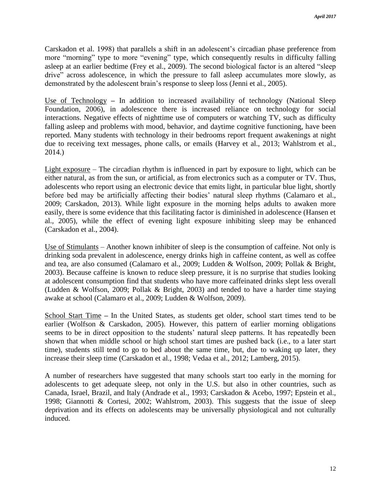Carskadon et al. 1998) that parallels a shift in an adolescent's circadian phase preference from more "morning" type to more "evening" type, which consequently results in difficulty falling asleep at an earlier bedtime (Frey et al., 2009). The second biological factor is an altered "sleep drive" across adolescence, in which the pressure to fall asleep accumulates more slowly, as demonstrated by the adolescent brain's response to sleep loss (Jenni et al., 2005).

Use of Technology **–** In addition to increased availability of technology (National Sleep Foundation, 2006), in adolescence there is increased reliance on technology for social interactions. Negative effects of nighttime use of computers or watching TV, such as difficulty falling asleep and problems with mood, behavior, and daytime cognitive functioning, have been reported. Many students with technology in their bedrooms report frequent awakenings at night due to receiving text messages, phone calls, or emails (Harvey et al., 2013; Wahlstrom et al., 2014.)

Light exposure – The circadian rhythm is influenced in part by exposure to light, which can be either natural, as from the sun, or artificial, as from electronics such as a computer or TV. Thus, adolescents who report using an electronic device that emits light, in particular blue light, shortly before bed may be artificially affecting their bodies' natural sleep rhythms (Calamaro et al., 2009; Carskadon, 2013). While light exposure in the morning helps adults to awaken more easily, there is some evidence that this facilitating factor is diminished in adolescence (Hansen et al., 2005), while the effect of evening light exposure inhibiting sleep may be enhanced (Carskadon et al., 2004).

Use of Stimulants – Another known inhibiter of sleep is the consumption of caffeine. Not only is drinking soda prevalent in adolescence, energy drinks high in caffeine content, as well as coffee and tea, are also consumed (Calamaro et al., 2009; Ludden & Wolfson, 2009; Pollak & Bright, 2003). Because caffeine is known to reduce sleep pressure, it is no surprise that studies looking at adolescent consumption find that students who have more caffeinated drinks slept less overall (Ludden & Wolfson, 2009; Pollak & Bright, 2003) and tended to have a harder time staying awake at school (Calamaro et al., 2009; Ludden & Wolfson, 2009).

School Start Time **–** In the United States, as students get older, school start times tend to be earlier (Wolfson & Carskadon, 2005). However, this pattern of earlier morning obligations seems to be in direct opposition to the students' natural sleep patterns. It has repeatedly been shown that when middle school or high school start times are pushed back (i.e., to a later start time), students still tend to go to bed about the same time, but, due to waking up later, they increase their sleep time (Carskadon et al., 1998; Vedaa et al., 2012; Lamberg, 2015).

A number of researchers have suggested that many schools start too early in the morning for adolescents to get adequate sleep, not only in the U.S. but also in other countries, such as Canada, Israel, Brazil, and Italy (Andrade et al., 1993; Carskadon & Acebo, 1997; Epstein et al., 1998; Giannotti & Cortesi, 2002; Wahlstrom, 2003). This suggests that the issue of sleep deprivation and its effects on adolescents may be universally physiological and not culturally induced.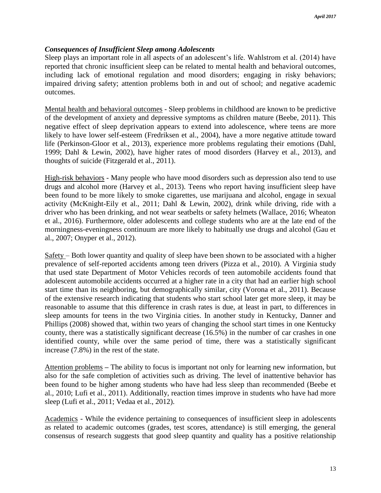## *Consequences of Insufficient Sleep among Adolescents*

Sleep plays an important role in all aspects of an adolescent's life. Wahlstrom et al. (2014) have reported that chronic insufficient sleep can be related to mental health and behavioral outcomes, including lack of emotional regulation and mood disorders; engaging in risky behaviors; impaired driving safety; attention problems both in and out of school; and negative academic outcomes.

Mental health and behavioral outcomes - Sleep problems in childhood are known to be predictive of the development of anxiety and depressive symptoms as children mature (Beebe, 2011). This negative effect of sleep deprivation appears to extend into adolescence, where teens are more likely to have lower self-esteem (Fredriksen et al., 2004), have a more negative attitude toward life (Perkinson-Gloor et al., 2013), experience more problems regulating their emotions (Dahl, 1999; Dahl & Lewin, 2002), have higher rates of mood disorders (Harvey et al., 2013), and thoughts of suicide (Fitzgerald et al., 2011).

High-risk behaviors - Many people who have mood disorders such as depression also tend to use drugs and alcohol more (Harvey et al., 2013). Teens who report having insufficient sleep have been found to be more likely to smoke cigarettes, use marijuana and alcohol, engage in sexual activity (McKnight-Eily et al., 2011; Dahl & Lewin, 2002), drink while driving, ride with a driver who has been drinking, and not wear seatbelts or safety helmets (Wallace, 2016; Wheaton et al., 2016). Furthermore, older adolescents and college students who are at the late end of the morningness-eveningness continuum are more likely to habitually use drugs and alcohol (Gau et al., 2007; Onyper et al., 2012).

Safety – Both lower quantity and quality of sleep have been shown to be associated with a higher prevalence of self-reported accidents among teen drivers (Pizza et al., 2010). A Virginia study that used state Department of Motor Vehicles records of teen automobile accidents found that adolescent automobile accidents occurred at a higher rate in a city that had an earlier high school start time than its neighboring, but demographically similar, city (Vorona et al., 2011). Because of the extensive research indicating that students who start school later get more sleep, it may be reasonable to assume that this difference in crash rates is due, at least in part, to differences in sleep amounts for teens in the two Virginia cities. In another study in Kentucky, Danner and Phillips (2008) showed that, within two years of changing the school start times in one Kentucky county, there was a statistically significant decrease (16.5%) in the number of car crashes in one identified county, while over the same period of time, there was a statistically significant increase (7.8%) in the rest of the state.

Attention problems **–** The ability to focus is important not only for learning new information, but also for the safe completion of activities such as driving. The level of inattentive behavior has been found to be higher among students who have had less sleep than recommended (Beebe et al., 2010; Lufi et al., 2011). Additionally, reaction times improve in students who have had more sleep (Lufi et al., 2011; Vedaa et al., 2012).

Academics - While the evidence pertaining to consequences of insufficient sleep in adolescents as related to academic outcomes (grades, test scores, attendance) is still emerging, the general consensus of research suggests that good sleep quantity and quality has a positive relationship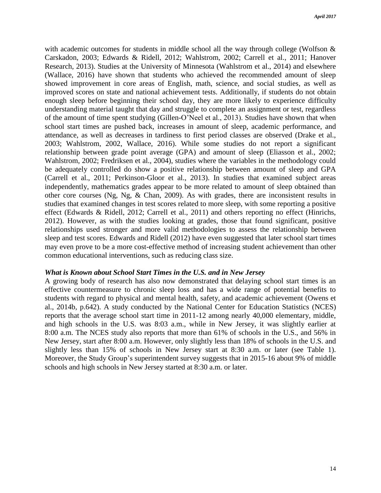with academic outcomes for students in middle school all the way through college (Wolfson & Carskadon, 2003; Edwards & Ridell, 2012; Wahlstrom, 2002; Carrell et al., 2011; Hanover Research, 2013). Studies at the University of Minnesota (Wahlstrom et al., 2014) and elsewhere (Wallace, 2016) have shown that students who achieved the recommended amount of sleep showed improvement in core areas of English, math, science, and social studies, as well as improved scores on state and national achievement tests. Additionally, if students do not obtain enough sleep before beginning their school day, they are more likely to experience difficulty understanding material taught that day and struggle to complete an assignment or test, regardless of the amount of time spent studying (Gillen-O'Neel et al., 2013). Studies have shown that when school start times are pushed back, increases in amount of sleep, academic performance, and attendance, as well as decreases in tardiness to first period classes are observed (Drake et al., 2003; Wahlstrom, 2002, Wallace, 2016). While some studies do not report a significant relationship between grade point average (GPA) and amount of sleep (Eliasson et al., 2002; Wahlstrom, 2002; Fredriksen et al., 2004), studies where the variables in the methodology could be adequately controlled do show a positive relationship between amount of sleep and GPA (Carrell et al., 2011; Perkinson-Gloor et al., 2013). In studies that examined subject areas independently, mathematics grades appear to be more related to amount of sleep obtained than other core courses (Ng, Ng, & Chan, 2009). As with grades, there are inconsistent results in studies that examined changes in test scores related to more sleep, with some reporting a positive effect (Edwards & Ridell, 2012; Carrell et al., 2011) and others reporting no effect (Hinrichs, 2012). However, as with the studies looking at grades, those that found significant, positive relationships used stronger and more valid methodologies to assess the relationship between sleep and test scores. Edwards and Ridell (2012) have even suggested that later school start times may even prove to be a more cost-effective method of increasing student achievement than other common educational interventions, such as reducing class size.

#### *What is Known about School Start Times in the U.S. and in New Jersey*

A growing body of research has also now demonstrated that delaying school start times is an effective countermeasure to chronic sleep loss and has a wide range of potential benefits to students with regard to physical and mental health, safety, and academic achievement (Owens et al., 2014b, p.642). A study conducted by the National Center for Education Statistics (NCES) reports that the average school start time in 2011-12 among nearly 40,000 elementary, middle, and high schools in the U.S. was 8:03 a.m., while in New Jersey, it was slightly earlier at 8:00 a.m. The NCES study also reports that more than 61% of schools in the U.S., and 56% in New Jersey, start after 8:00 a.m. However, only slightly less than 18% of schools in the U.S. and slightly less than 15% of schools in New Jersey start at 8:30 a.m. or later (see Table 1). Moreover, the Study Group's superintendent survey suggests that in 2015-16 about 9% of middle schools and high schools in New Jersey started at 8:30 a.m. or later.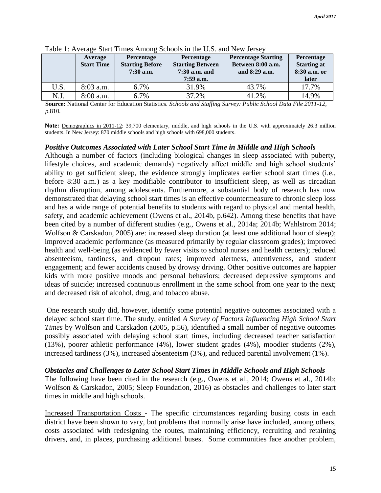|      | Average<br><b>Start Time</b> | Percentage<br><b>Starting Before</b><br>$7:30$ a.m. | Percentage<br><b>Starting Between</b><br>$7:30$ a.m. and<br>$7:59$ a.m. | <b>Percentage Starting</b><br>Between 8:00 a.m.<br>and 8:29 a.m. | Percentage<br><b>Starting at</b><br>8:30 a.m. or<br>later |
|------|------------------------------|-----------------------------------------------------|-------------------------------------------------------------------------|------------------------------------------------------------------|-----------------------------------------------------------|
| U.S. | $8:03$ a.m.                  | 6.7%                                                | 31.9%                                                                   | 43.7%                                                            | 17.7%                                                     |
| N.J. | 8:00 a.m.                    | 6.7%                                                | 37.2%                                                                   | 41.2%                                                            | 14.9%                                                     |

Table 1: Average Start Times Among Schools in the U.S. and New Jersey

 **Source:** National Center for Education Statistics. *Schools and Staffing Survey: Public School Data File 2011-12,*  *p.*810*.*

Note: Demographics in 2011-12: 39,700 elementary, middle, and high schools in the U.S. with approximately 26.3 million students. In New Jersey: 870 middle schools and high schools with 698,000 students.

#### *Positive Outcomes Associated with Later School Start Time in Middle and High Schools*

Although a number of factors (including biological changes in sleep associated with puberty, lifestyle choices, and academic demands) negatively affect middle and high school students' ability to get sufficient sleep, the evidence strongly implicates earlier school start times (i.e., before 8:30 a.m.) as a key modifiable contributor to insufficient sleep, as well as circadian rhythm disruption, among adolescents. Furthermore, a substantial body of research has now demonstrated that delaying school start times is an effective countermeasure to chronic sleep loss and has a wide range of potential benefits to students with regard to physical and mental health, safety, and academic achievement (Owens et al., 2014b, p.642). Among these benefits that have been cited by a number of different studies (e.g., Owens et al., 2014a; 2014b; Wahlstrom 2014; Wolfson & Carskadon, 2005) are: increased sleep duration (at least one additional hour of sleep); improved academic performance (as measured primarily by regular classroom grades); improved health and well-being (as evidenced by fewer visits to school nurses and health centers); reduced absenteeism, tardiness, and dropout rates; improved alertness, attentiveness, and student engagement; and fewer accidents caused by drowsy driving. Other positive outcomes are happier kids with more positive moods and personal behaviors; decreased depressive symptoms and ideas of suicide; increased continuous enrollment in the same school from one year to the next; and decreased risk of alcohol, drug, and tobacco abuse.

One research study did, however, identify some potential negative outcomes associated with a delayed school start time. The study, entitled *A Survey of Factors Influencing High School Start Times* by Wolfson and Carskadon (2005, p.56), identified a small number of negative outcomes possibly associated with delaying school start times, including decreased teacher satisfaction (13%), poorer athletic performance (4%), lower student grades (4%), moodier students (2%), increased tardiness (3%), increased absenteeism (3%), and reduced parental involvement (1%).

#### *Obstacles and Challenges to Later School Start Times in Middle Schools and High Schools*

The following have been cited in the research (e.g., Owens et al., 2014; Owens et al., 2014b; Wolfson & Carskadon, 2005; Sleep Foundation, 2016) as obstacles and challenges to later start times in middle and high schools.

Increased Transportation Costs - The specific circumstances regarding busing costs in each district have been shown to vary, but problems that normally arise have included, among others, costs associated with redesigning the routes, maintaining efficiency, recruiting and retaining drivers, and, in places, purchasing additional buses. Some communities face another problem,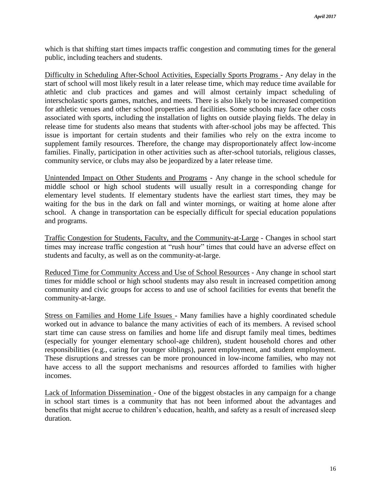which is that shifting start times impacts traffic congestion and commuting times for the general public, including teachers and students.

Difficulty in Scheduling After-School Activities, Especially Sports Programs - Any delay in the start of school will most likely result in a later release time, which may reduce time available for athletic and club practices and games and will almost certainly impact scheduling of interscholastic sports games, matches, and meets. There is also likely to be increased competition for athletic venues and other school properties and facilities. Some schools may face other costs associated with sports, including the installation of lights on outside playing fields. The delay in release time for students also means that students with after-school jobs may be affected. This issue is important for certain students and their families who rely on the extra income to supplement family resources. Therefore, the change may disproportionately affect low-income families. Finally, participation in other activities such as after-school tutorials, religious classes, community service, or clubs may also be jeopardized by a later release time.

Unintended Impact on Other Students and Programs - Any change in the school schedule for middle school or high school students will usually result in a corresponding change for elementary level students. If elementary students have the earliest start times, they may be waiting for the bus in the dark on fall and winter mornings, or waiting at home alone after school. A change in transportation can be especially difficult for special education populations and programs.

Traffic Congestion for Students, Faculty, and the Community-at-Large - Changes in school start times may increase traffic congestion at "rush hour" times that could have an adverse effect on students and faculty, as well as on the community-at-large.

Reduced Time for Community Access and Use of School Resources - Any change in school start times for middle school or high school students may also result in increased competition among community and civic groups for access to and use of school facilities for events that benefit the community-at-large.

Stress on Families and Home Life Issues - Many families have a highly coordinated schedule worked out in advance to balance the many activities of each of its members. A revised school start time can cause stress on families and home life and disrupt family meal times, bedtimes (especially for younger elementary school-age children), student household chores and other responsibilities (e.g., caring for younger siblings), parent employment, and student employment. These disruptions and stresses can be more pronounced in low-income families, who may not have access to all the support mechanisms and resources afforded to families with higher incomes.

Lack of Information Dissemination - One of the biggest obstacles in any campaign for a change in school start times is a community that has not been informed about the advantages and benefits that might accrue to children's education, health, and safety as a result of increased sleep duration.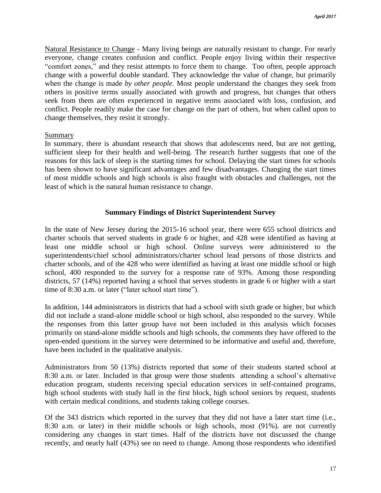Natural Resistance to Change - Many living beings are naturally resistant to change. For nearly everyone, change creates confusion and conflict. People enjoy living within their respective "comfort zones," and they resist attempts to force them to change. Too often, people approach change with a powerful double standard. They acknowledge the value of change, but primarily when the change is made *by other people.* Most people understand the changes they seek from others in positive terms usually associated with growth and progress, but changes that others seek from them are often experienced in negative terms associated with loss, confusion, and conflict. People readily make the case for change on the part of others, but when called upon to change themselves, they resist it strongly.

#### Summary

In summary, there is abundant research that shows that adolescents need, but are not getting, sufficient sleep for their health and well-being. The research further suggests that one of the reasons for this lack of sleep is the starting times for school. Delaying the start times for schools has been shown to have significant advantages and few disadvantages. Changing the start times of most middle schools and high schools is also fraught with obstacles and challenges, not the least of which is the natural human resistance to change.

## **Summary Findings of District Superintendent Survey**

In the state of New Jersey during the 2015-16 school year, there were 655 school districts and charter schools that served students in grade 6 or higher, and 428 were identified as having at least one middle school or high school. Online surveys were administered to the superintendents/chief school administrators/charter school lead persons of those districts and charter schools, and of the 428 who were identified as having at least one middle school or high school, 400 responded to the survey for a response rate of 93%. Among those responding districts, 57 (14%) reported having a school that serves students in grade 6 or higher with a start time of 8:30 a.m. or later ("later school start time").

In addition, 144 administrators in districts that had a school with sixth grade or higher, but which did not include a stand-alone middle school or high school, also responded to the survey. While the responses from this latter group have not been included in this analysis which focuses primarily on stand-alone middle schools and high schools, the comments they have offered to the open-ended questions in the survey were determined to be informative and useful and, therefore, have been included in the qualitative analysis.

Administrators from 50 (13%) districts reported that *some* of their students started school at 8:30 a.m. or later. Included in that group were those students attending a school's alternative education program, students receiving special education services in self-contained programs, high school students with study hall in the first block, high school seniors by request, students with certain medical conditions, and students taking college courses.

Of the 343 districts which reported in the survey that they did not have a later start time (i.e., 8:30 a.m. or later) in their middle schools or high schools, most (91%). are not currently considering any changes in start times. Half of the districts have not discussed the change recently, and nearly half (43%) see no need to change. Among those respondents who identified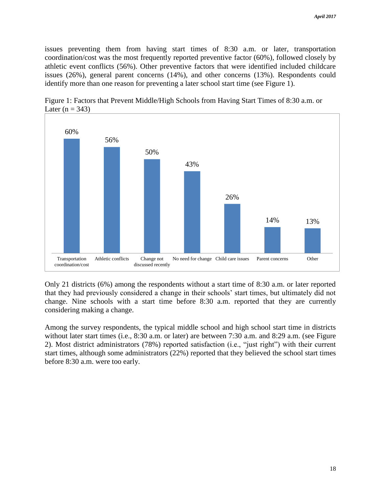issues preventing them from having start times of 8:30 a.m. or later, transportation coordination/cost was the most frequently reported preventive factor (60%), followed closely by athletic event conflicts (56%). Other preventive factors that were identified included childcare issues (26%), general parent concerns (14%), and other concerns (13%). Respondents could identify more than one reason for preventing a later school start time (see Figure 1).



Figure 1: Factors that Prevent Middle/High Schools from Having Start Times of 8:30 a.m. or Later ( $n = 343$ )

Only 21 districts (6%) among the respondents without a start time of 8:30 a.m. or later reported that they had previously considered a change in their schools' start times, but ultimately did not change. Nine schools with a start time before 8:30 a.m. reported that they are currently considering making a change.

Among the survey respondents, the typical middle school and high school start time in districts without later start times (i.e., 8:30 a.m. or later) are between 7:30 a.m. and 8:29 a.m. (see Figure 2). Most district administrators (78%) reported satisfaction (i.e., "just right") with their current start times, although some administrators (22%) reported that they believed the school start times before 8:30 a.m. were too early.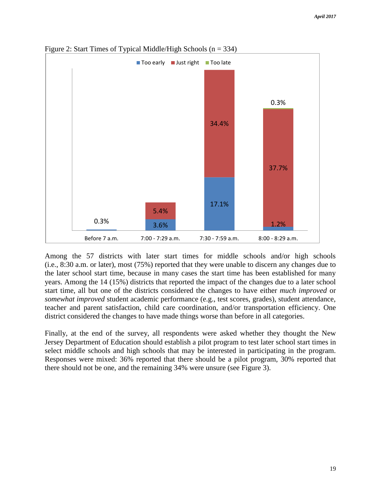

Figure 2: Start Times of Typical Middle/High Schools  $(n = 334)$ 

Among the 57 districts with later start times for middle schools and/or high schools (i.e., 8:30 a.m. or later), most (75%) reported that they were unable to discern any changes due to the later school start time, because in many cases the start time has been established for many years. Among the 14 (15%) districts that reported the impact of the changes due to a later school start time, all but one of the districts considered the changes to have either *much improved* or *somewhat improved* student academic performance (e.g., test scores, grades), student attendance, teacher and parent satisfaction, child care coordination, and/or transportation efficiency. One district considered the changes to have made things worse than before in all categories.

Finally, at the end of the survey, all respondents were asked whether they thought the New Jersey Department of Education should establish a pilot program to test later school start times in select middle schools and high schools that may be interested in participating in the program. Responses were mixed: 36% reported that there should be a pilot program, 30% reported that there should not be one, and the remaining 34% were unsure (see Figure 3).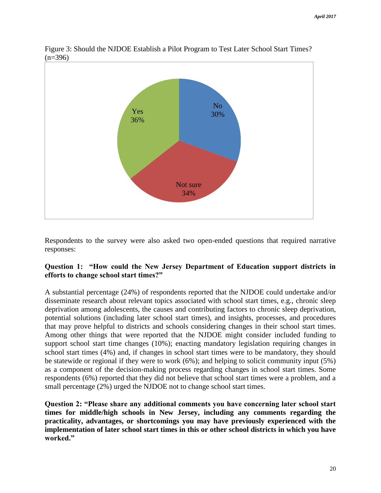

Figure 3: Should the NJDOE Establish a Pilot Program to Test Later School Start Times?  $(n=396)$ 

Respondents to the survey were also asked two open-ended questions that required narrative responses:

## **Question 1: "How could the New Jersey Department of Education support districts in efforts to change school start times?"**

A substantial percentage (24%) of respondents reported that the NJDOE could undertake and/or disseminate research about relevant topics associated with school start times, e.g., chronic sleep deprivation among adolescents, the causes and contributing factors to chronic sleep deprivation, potential solutions (including later school start times), and insights, processes, and procedures that may prove helpful to districts and schools considering changes in their school start times. Among other things that were reported that the NJDOE might consider included funding to support school start time changes (10%); enacting mandatory legislation requiring changes in school start times (4%) and, if changes in school start times were to be mandatory, they should be statewide or regional if they were to work (6%); and helping to solicit community input (5%) as a component of the decision-making process regarding changes in school start times. Some respondents (6%) reported that they did not believe that school start times were a problem, and a small percentage (2%) urged the NJDOE not to change school start times.

**Question 2: "Please share any additional comments you have concerning later school start times for middle/high schools in New Jersey, including any comments regarding the practicality, advantages, or shortcomings you may have previously experienced with the implementation of later school start times in this or other school districts in which you have worked."**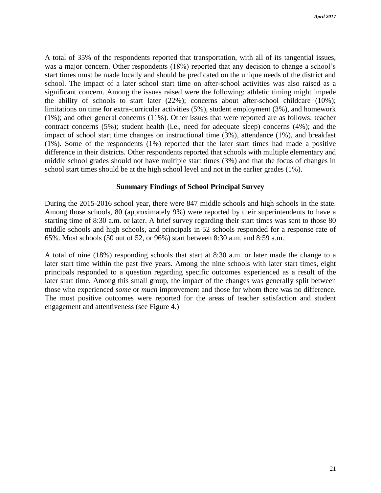A total of 35% of the respondents reported that transportation, with all of its tangential issues, was a major concern. Other respondents (18%) reported that any decision to change a school's start times must be made locally and should be predicated on the unique needs of the district and school. The impact of a later school start time on after-school activities was also raised as a significant concern. Among the issues raised were the following: athletic timing might impede the ability of schools to start later (22%); concerns about after-school childcare (10%); limitations on time for extra-curricular activities (5%), student employment (3%), and homework (1%); and other general concerns (11%). Other issues that were reported are as follows: teacher contract concerns (5%); student health (i.e., need for adequate sleep) concerns (4%); and the impact of school start time changes on instructional time (3%), attendance (1%), and breakfast (1%). Some of the respondents (1%) reported that the later start times had made a positive difference in their districts. Other respondents reported that schools with multiple elementary and middle school grades should not have multiple start times (3%) and that the focus of changes in school start times should be at the high school level and not in the earlier grades (1%).

## **Summary Findings of School Principal Survey**

During the 2015-2016 school year, there were 847 middle schools and high schools in the state. Among those schools, 80 (approximately 9%) were reported by their superintendents to have a starting time of 8:30 a.m. or later. A brief survey regarding their start times was sent to those 80 middle schools and high schools, and principals in 52 schools responded for a response rate of 65%. Most schools (50 out of 52, or 96%) start between 8:30 a.m. and 8:59 a.m.

A total of nine (18%) responding schools that start at 8:30 a.m. or later made the change to a later start time within the past five years. Among the nine schools with later start times, eight principals responded to a question regarding specific outcomes experienced as a result of the later start time. Among this small group, the impact of the changes was generally split between those who experienced *some* or *much* improvement and those for whom there was no difference. The most positive outcomes were reported for the areas of teacher satisfaction and student engagement and attentiveness (see Figure 4.)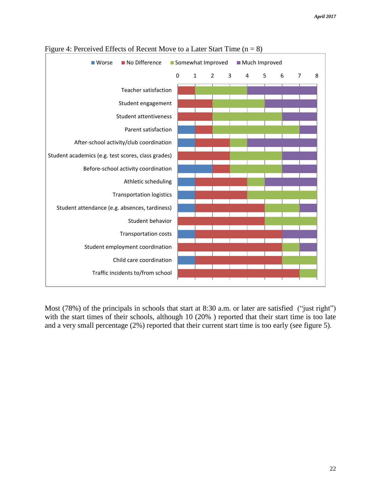| No Difference<br>■ Worse                           |             | Much Improved<br>Somewhat Improved |                |   |   |   |   |                |   |
|----------------------------------------------------|-------------|------------------------------------|----------------|---|---|---|---|----------------|---|
|                                                    | $\mathbf 0$ | $\mathbf{1}$                       | $\overline{2}$ | 3 | 4 | 5 | 6 | $\overline{7}$ | 8 |
| Teacher satisfaction                               |             |                                    |                |   |   |   |   |                |   |
| Student engagement                                 |             |                                    |                |   |   |   |   |                |   |
| <b>Student attentiveness</b>                       |             |                                    |                |   |   |   |   |                |   |
| Parent satisfaction                                |             |                                    |                |   |   |   |   |                |   |
| After-school activity/club coordination            |             |                                    |                |   |   |   |   |                |   |
| Student academics (e.g. test scores, class grades) |             |                                    |                |   |   |   |   |                |   |
| Before-school activity coordination                |             |                                    |                |   |   |   |   |                |   |
| Athletic scheduling                                |             |                                    |                |   |   |   |   |                |   |
| <b>Transportation logistics</b>                    |             |                                    |                |   |   |   |   |                |   |
| Student attendance (e.g. absences, tardiness)      |             |                                    |                |   |   |   |   |                |   |
| Student behavior                                   |             |                                    |                |   |   |   |   |                |   |
| Transportation costs                               |             |                                    |                |   |   |   |   |                |   |
| Student employment coordination                    |             |                                    |                |   |   |   |   |                |   |
| Child care coordination                            |             |                                    |                |   |   |   |   |                |   |
| Traffic incidents to/from school                   |             |                                    |                |   |   |   |   |                |   |

## Figure 4: Perceived Effects of Recent Move to a Later Start Time  $(n = 8)$

Most (78%) of the principals in schools that start at 8:30 a.m. or later are satisfied ("just right") with the start times of their schools, although 10 (20% ) reported that their start time is too late and a very small percentage (2%) reported that their current start time is too early (see figure 5).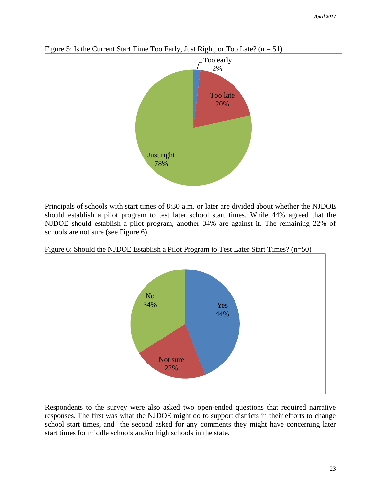

Figure 5: Is the Current Start Time Too Early, Just Right, or Too Late?  $(n = 51)$ 

Principals of schools with start times of 8:30 a.m. or later are divided about whether the NJDOE should establish a pilot program to test later school start times. While 44% agreed that the NJDOE should establish a pilot program, another 34% are against it. The remaining 22% of schools are not sure (see Figure 6).



Figure 6: Should the NJDOE Establish a Pilot Program to Test Later Start Times? (n=50)

Respondents to the survey were also asked two open-ended questions that required narrative responses. The first was what the NJDOE might do to support districts in their efforts to change school start times, and the second asked for any comments they might have concerning later start times for middle schools and/or high schools in the state.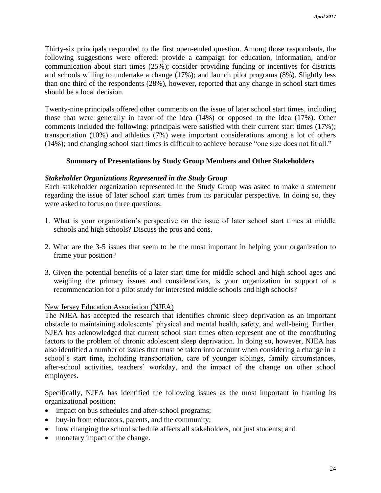Thirty-six principals responded to the first open-ended question. Among those respondents, the following suggestions were offered: provide a campaign for education, information, and/or communication about start times (25%); consider providing funding or incentives for districts and schools willing to undertake a change (17%); and launch pilot programs (8%). Slightly less than one third of the respondents (28%), however, reported that any change in school start times should be a local decision.

Twenty-nine principals offered other comments on the issue of later school start times, including those that were generally in favor of the idea (14%) or opposed to the idea (17%). Other comments included the following: principals were satisfied with their current start times (17%); transportation (10%) and athletics (7%) were important considerations among a lot of others (14%); and changing school start times is difficult to achieve because "one size does not fit all."

## **Summary of Presentations by Study Group Members and Other Stakeholders**

## *Stakeholder Organizations Represented in the Study Group*

Each stakeholder organization represented in the Study Group was asked to make a statement regarding the issue of later school start times from its particular perspective. In doing so, they were asked to focus on three questions:

- 1. What is your organization's perspective on the issue of later school start times at middle schools and high schools? Discuss the pros and cons.
- 2. What are the 3-5 issues that seem to be the most important in helping your organization to frame your position?
- 3. Given the potential benefits of a later start time for middle school and high school ages and weighing the primary issues and considerations, is your organization in support of a recommendation for a pilot study for interested middle schools and high schools?

## New Jersey Education Association (NJEA)

The NJEA has accepted the research that identifies chronic sleep deprivation as an important obstacle to maintaining adolescents' physical and mental health, safety, and well-being. Further, NJEA has acknowledged that current school start times often represent one of the contributing factors to the problem of chronic adolescent sleep deprivation. In doing so, however, NJEA has also identified a number of issues that must be taken into account when considering a change in a school's start time, including transportation, care of younger siblings, family circumstances, after-school activities, teachers' workday, and the impact of the change on other school employees.

Specifically, NJEA has identified the following issues as the most important in framing its organizational position:

- impact on bus schedules and after-school programs;
- buy-in from educators, parents, and the community;
- how changing the school schedule affects all stakeholders, not just students; and
- monetary impact of the change.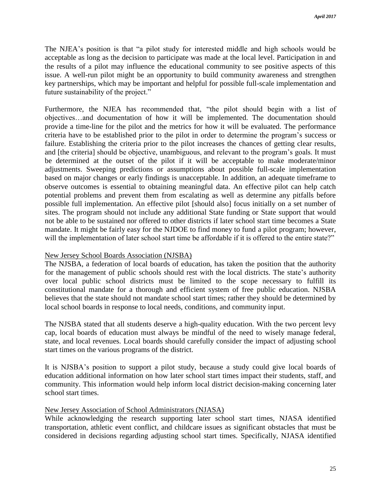The NJEA's position is that "a pilot study for interested middle and high schools would be acceptable as long as the decision to participate was made at the local level. Participation in and the results of a pilot may influence the educational community to see positive aspects of this issue. A well-run pilot might be an opportunity to build community awareness and strengthen key partnerships, which may be important and helpful for possible full-scale implementation and future sustainability of the project."

Furthermore, the NJEA has recommended that, "the pilot should begin with a list of objectives…and documentation of how it will be implemented. The documentation should provide a time-line for the pilot and the metrics for how it will be evaluated. The performance criteria have to be established prior to the pilot in order to determine the program's success or failure. Establishing the criteria prior to the pilot increases the chances of getting clear results, and [the criteria] should be objective, unambiguous, and relevant to the program's goals. It must be determined at the outset of the pilot if it will be acceptable to make moderate/minor adjustments. Sweeping predictions or assumptions about possible full-scale implementation based on major changes or early findings is unacceptable. In addition, an adequate timeframe to observe outcomes is essential to obtaining meaningful data. An effective pilot can help catch potential problems and prevent them from escalating as well as determine any pitfalls before possible full implementation. An effective pilot [should also] focus initially on a set number of sites. The program should not include any additional State funding or State support that would not be able to be sustained nor offered to other districts if later school start time becomes a State mandate. It might be fairly easy for the NJDOE to find money to fund a pilot program; however, will the implementation of later school start time be affordable if it is offered to the entire state?"

## New Jersey School Boards Association (NJSBA)

The NJSBA, a federation of local boards of education, has taken the position that the authority for the management of public schools should rest with the local districts. The state's authority over local public school districts must be limited to the scope necessary to fulfill its constitutional mandate for a thorough and efficient system of free public education. NJSBA believes that the state should not mandate school start times; rather they should be determined by local school boards in response to local needs, conditions, and community input.

The NJSBA stated that all students deserve a high-quality education. With the two percent levy cap, local boards of education must always be mindful of the need to wisely manage federal, state, and local revenues. Local boards should carefully consider the impact of adjusting school start times on the various programs of the district.

It is NJSBA's position to support a pilot study, because a study could give local boards of education additional information on how later school start times impact their students, staff, and community. This information would help inform local district decision-making concerning later school start times.

## New Jersey Association of School Administrators (NJASA)

While acknowledging the research supporting later school start times, NJASA identified transportation, athletic event conflict, and childcare issues as significant obstacles that must be considered in decisions regarding adjusting school start times. Specifically, NJASA identified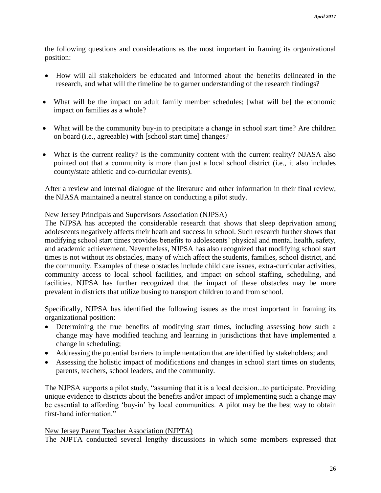the following questions and considerations as the most important in framing its organizational position:

- How will all stakeholders be educated and informed about the benefits delineated in the research, and what will the timeline be to garner understanding of the research findings?
- What will be the impact on adult family member schedules; [what will be] the economic impact on families as a whole?
- What will be the community buy-in to precipitate a change in school start time? Are children on board (i.e., agreeable) with [school start time] changes?
- What is the current reality? Is the community content with the current reality? NJASA also pointed out that a community is more than just a local school district (i.e., it also includes county/state athletic and co-curricular events).

After a review and internal dialogue of the literature and other information in their final review, the NJASA maintained a neutral stance on conducting a pilot study.

## New Jersey Principals and Supervisors Association (NJPSA)

The NJPSA has accepted the considerable research that shows that sleep deprivation among adolescents negatively affects their heath and success in school. Such research further shows that modifying school start times provides benefits to adolescents' physical and mental health, safety, and academic achievement. Nevertheless, NJPSA has also recognized that modifying school start times is not without its obstacles, many of which affect the students, families, school district, and the community. Examples of these obstacles include child care issues, extra-curricular activities, community access to local school facilities, and impact on school staffing, scheduling, and facilities. NJPSA has further recognized that the impact of these obstacles may be more prevalent in districts that utilize busing to transport children to and from school.

Specifically, NJPSA has identified the following issues as the most important in framing its organizational position:

- Determining the true benefits of modifying start times, including assessing how such a change may have modified teaching and learning in jurisdictions that have implemented a change in scheduling;
- Addressing the potential barriers to implementation that are identified by stakeholders; and
- Assessing the holistic impact of modifications and changes in school start times on students, parents, teachers, school leaders, and the community.

The NJPSA supports a pilot study, "assuming that it is a local decision...to participate. Providing unique evidence to districts about the benefits and/or impact of implementing such a change may be essential to affording 'buy-in' by local communities. A pilot may be the best way to obtain first-hand information."

## New Jersey Parent Teacher Association (NJPTA)

The NJPTA conducted several lengthy discussions in which some members expressed that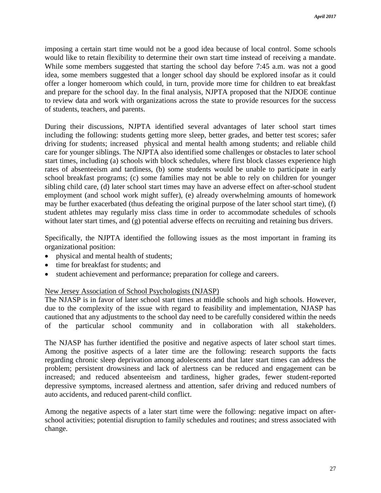imposing a certain start time would not be a good idea because of local control. Some schools would like to retain flexibility to determine their own start time instead of receiving a mandate. While some members suggested that starting the school day before 7:45 a.m. was not a good idea, some members suggested that a longer school day should be explored insofar as it could offer a longer homeroom which could, in turn, provide more time for children to eat breakfast and prepare for the school day. In the final analysis, NJPTA proposed that the NJDOE continue to review data and work with organizations across the state to provide resources for the success of students, teachers, and parents.

During their discussions, NJPTA identified several advantages of later school start times including the following: students getting more sleep, better grades, and better test scores; safer driving for students; increased physical and mental health among students; and reliable child care for younger siblings. The NJPTA also identified some challenges or obstacles to later school start times, including (a) schools with block schedules, where first block classes experience high rates of absenteeism and tardiness, (b) some students would be unable to participate in early school breakfast programs; (c) some families may not be able to rely on children for younger sibling child care, (d) later school start times may have an adverse effect on after-school student employment (and school work might suffer), (e) already overwhelming amounts of homework may be further exacerbated (thus defeating the original purpose of the later school start time), (f) student athletes may regularly miss class time in order to accommodate schedules of schools without later start times, and (g) potential adverse effects on recruiting and retaining bus drivers.

Specifically, the NJPTA identified the following issues as the most important in framing its organizational position:

- physical and mental health of students;
- time for breakfast for students; and
- student achievement and performance; preparation for college and careers.

## New Jersey Association of School Psychologists (NJASP)

The NJASP is in favor of later school start times at middle schools and high schools. However, due to the complexity of the issue with regard to feasibility and implementation, NJASP has cautioned that any adjustments to the school day need to be carefully considered within the needs of the particular school community and in collaboration with all stakeholders.

The NJASP has further identified the positive and negative aspects of later school start times. Among the positive aspects of a later time are the following: research supports the facts regarding chronic sleep deprivation among adolescents and that later start times can address the problem; persistent drowsiness and lack of alertness can be reduced and engagement can be increased; and reduced absenteeism and tardiness, higher grades, fewer student-reported depressive symptoms, increased alertness and attention, safer driving and reduced numbers of auto accidents, and reduced parent-child conflict.

Among the negative aspects of a later start time were the following: negative impact on afterschool activities; potential disruption to family schedules and routines; and stress associated with change.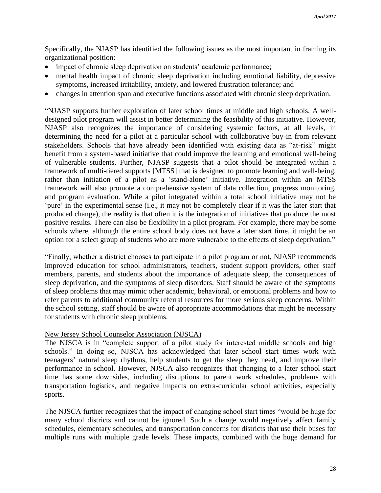Specifically, the NJASP has identified the following issues as the most important in framing its organizational position:

- impact of chronic sleep deprivation on students' academic performance;
- mental health impact of chronic sleep deprivation including emotional liability, depressive symptoms, increased irritability, anxiety, and lowered frustration tolerance; and
- changes in attention span and executive functions associated with chronic sleep deprivation.

"NJASP supports further exploration of later school times at middle and high schools. A welldesigned pilot program will assist in better determining the feasibility of this initiative. However, NJASP also recognizes the importance of considering systemic factors, at all levels, in determining the need for a pilot at a particular school with collaborative buy-in from relevant stakeholders. Schools that have already been identified with existing data as "at-risk" might benefit from a system-based initiative that could improve the learning and emotional well-being of vulnerable students. Further, NJASP suggests that a pilot should be integrated within a framework of multi-tiered supports [MTSS] that is designed to promote learning and well-being, rather than initiation of a pilot as a 'stand-alone' initiative. Integration within an MTSS framework will also promote a comprehensive system of data collection, progress monitoring, and program evaluation. While a pilot integrated within a total school initiative may not be 'pure' in the experimental sense (i.e., it may not be completely clear if it was the later start that produced change), the reality is that often it is the integration of initiatives that produce the most positive results. There can also be flexibility in a pilot program. For example, there may be some schools where, although the entire school body does not have a later start time, it might be an option for a select group of students who are more vulnerable to the effects of sleep deprivation."

"Finally, whether a district chooses to participate in a pilot program or not, NJASP recommends improved education for school administrators, teachers, student support providers, other staff members, parents, and students about the importance of adequate sleep, the consequences of sleep deprivation, and the symptoms of sleep disorders. Staff should be aware of the symptoms of sleep problems that may mimic other academic, behavioral, or emotional problems and how to refer parents to additional community referral resources for more serious sleep concerns. Within the school setting, staff should be aware of appropriate accommodations that might be necessary for students with chronic sleep problems.

## New Jersey School Counselor Association (NJSCA)

The NJSCA is in "complete support of a pilot study for interested middle schools and high schools." In doing so, NJSCA has acknowledged that later school start times work with teenagers' natural sleep rhythms, help students to get the sleep they need, and improve their performance in school. However, NJSCA also recognizes that changing to a later school start time has some downsides, including disruptions to parent work schedules, problems with transportation logistics, and negative impacts on extra-curricular school activities, especially sports.

The NJSCA further recognizes that the impact of changing school start times "would be huge for many school districts and cannot be ignored. Such a change would negatively affect family schedules, elementary schedules, and transportation concerns for districts that use their buses for multiple runs with multiple grade levels. These impacts, combined with the huge demand for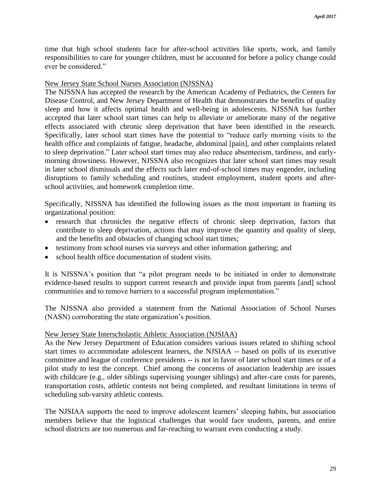time that high school students face for after-school activities like sports, work, and family responsibilities to care for younger children, must be accounted for before a policy change could ever be considered."

#### New Jersey State School Nurses Association (NJSSNA)

The NJSSNA has accepted the research by the American Academy of Pediatrics, the Centers for Disease Control, and New Jersey Department of Health that demonstrates the benefits of quality sleep and how it affects optimal health and well-being in adolescents. NJSSNA has further accepted that later school start times can help to alleviate or ameliorate many of the negative effects associated with chronic sleep deprivation that have been identified in the research. Specifically, later school start times have the potential to "reduce early morning visits to the health office and complaints of fatigue, headache, abdominal [pain], and other complaints related to sleep deprivation." Later school start times may also reduce absenteeism, tardiness, and earlymorning drowsiness. However, NJSSNA also recognizes that later school start times may result in later school dismissals and the effects such later end-of-school times may engender, including disruptions to family scheduling and routines, student employment, student sports and afterschool activities, and homework completion time.

Specifically, NJSSNA has identified the following issues as the most important in framing its organizational position:

- research that chronicles the negative effects of chronic sleep deprivation, factors that contribute to sleep deprivation, actions that may improve the quantity and quality of sleep, and the benefits and obstacles of changing school start times;
- testimony from school nurses via surveys and other information gathering; and
- school health office documentation of student visits.

It is NJSSNA's position that "a pilot program needs to be initiated in order to demonstrate evidence-based results to support current research and provide input from parents [and] school communities and to remove barriers to a successful program implementation."

The NJSSNA also provided a statement from the National Association of School Nurses (NASN) corroborating the state organization's position.

#### New Jersey State Interscholastic Athletic Association (NJSIAA)

As the New Jersey Department of Education considers various issues related to shifting school start times to accommodate adolescent learners, the NJSIAA -- based on polls of its executive committee and league of conference presidents -- is not in favor of later school start times or of a pilot study to test the concept. Chief among the concerns of association leadership are issues with childcare (e.g., older siblings supervising younger siblings) and after-care costs for parents, transportation costs, athletic contests not being completed, and resultant limitations in terms of scheduling sub-varsity athletic contests.

The NJSIAA supports the need to improve adolescent learners' sleeping habits, but association members believe that the logistical challenges that would face students, parents, and entire school districts are too numerous and far-reaching to warrant even conducting a study.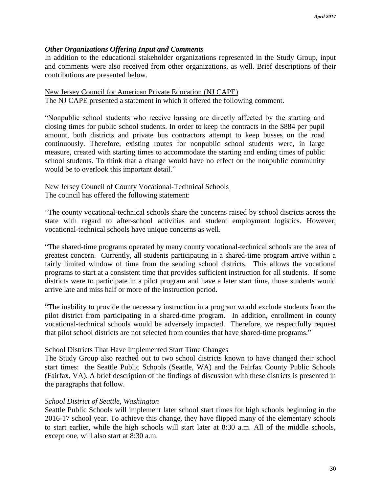## *Other Organizations Offering Input and Comments*

In addition to the educational stakeholder organizations represented in the Study Group, input and comments were also received from other organizations, as well. Brief descriptions of their contributions are presented below.

#### New Jersey Council for American Private Education (NJ CAPE)

The NJ CAPE presented a statement in which it offered the following comment.

"Nonpublic school students who receive bussing are directly affected by the starting and closing times for public school students. In order to keep the contracts in the \$884 per pupil amount, both districts and private bus contractors attempt to keep busses on the road continuously. Therefore, existing routes for nonpublic school students were, in large measure, created with starting times to accommodate the starting and ending times of public school students. To think that a change would have no effect on the nonpublic community would be to overlook this important detail."

## New Jersey Council of County Vocational-Technical Schools The council has offered the following statement:

"The county vocational-technical schools share the concerns raised by school districts across the state with regard to after-school activities and student employment logistics. However, vocational-technical schools have unique concerns as well.

"The shared-time programs operated by many county vocational-technical schools are the area of greatest concern. Currently, all students participating in a shared-time program arrive within a fairly limited window of time from the sending school districts. This allows the vocational programs to start at a consistent time that provides sufficient instruction for all students. If some districts were to participate in a pilot program and have a later start time, those students would arrive late and miss half or more of the instruction period.

"The inability to provide the necessary instruction in a program would exclude students from the pilot district from participating in a shared-time program. In addition, enrollment in county vocational-technical schools would be adversely impacted. Therefore, we respectfully request that pilot school districts are not selected from counties that have shared-time programs."

## School Districts That Have Implemented Start Time Changes

The Study Group also reached out to two school districts known to have changed their school start times: the Seattle Public Schools (Seattle, WA) and the Fairfax County Public Schools (Fairfax, VA). A brief description of the findings of discussion with these districts is presented in the paragraphs that follow.

## *School District of Seattle, Washington*

Seattle Public Schools will implement later school start times for high schools beginning in the 2016-17 school year. To achieve this change, they have flipped many of the elementary schools to start earlier, while the high schools will start later at 8:30 a.m. All of the middle schools, except one, will also start at 8:30 a.m.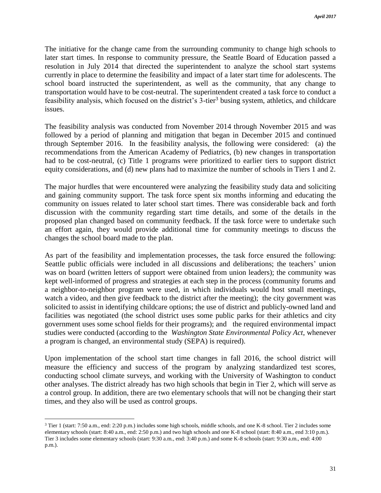The initiative for the change came from the surrounding community to change high schools to later start times. In response to community pressure, the Seattle Board of Education passed a resolution in July 2014 that directed the superintendent to analyze the school start systems currently in place to determine the feasibility and impact of a later start time for adolescents. The school board instructed the superintendent, as well as the community, that any change to transportation would have to be cost-neutral. The superintendent created a task force to conduct a feasibility analysis, which focused on the district's 3-tier<sup>3</sup> busing system, athletics, and childcare issues.

The feasibility analysis was conducted from November 2014 through November 2015 and was followed by a period of planning and mitigation that began in December 2015 and continued through September 2016. In the feasibility analysis, the following were considered: (a) the recommendations from the American Academy of Pediatrics, (b) new changes in transportation had to be cost-neutral, (c) Title 1 programs were prioritized to earlier tiers to support district equity considerations, and (d) new plans had to maximize the number of schools in Tiers 1 and 2.

The major hurdles that were encountered were analyzing the feasibility study data and soliciting and gaining community support. The task force spent six months informing and educating the community on issues related to later school start times. There was considerable back and forth discussion with the community regarding start time details, and some of the details in the proposed plan changed based on community feedback. If the task force were to undertake such an effort again, they would provide additional time for community meetings to discuss the changes the school board made to the plan.

As part of the feasibility and implementation processes, the task force ensured the following: Seattle public officials were included in all discussions and deliberations; the teachers' union was on board (written letters of support were obtained from union leaders); the community was kept well-informed of progress and strategies at each step in the process (community forums and a neighbor-to-neighbor program were used, in which individuals would host small meetings, watch a video, and then give feedback to the district after the meeting); the city government was solicited to assist in identifying childcare options; the use of district and publicly-owned land and facilities was negotiated (the school district uses some public parks for their athletics and city government uses some school fields for their programs); and the required environmental impact studies were conducted (according to the *Washington State Environmental Policy Act*, whenever a program is changed, an environmental study (SEPA) is required).

Upon implementation of the school start time changes in fall 2016, the school district will measure the efficiency and success of the program by analyzing standardized test scores, conducting school climate surveys, and working with the University of Washington to conduct other analyses. The district already has two high schools that begin in Tier 2, which will serve as a control group. In addition, there are two elementary schools that will not be changing their start times, and they also will be used as control groups.

 $\overline{a}$ 

<sup>3</sup> Tier 1 (start: 7:50 a.m., end: 2:20 p.m.) includes some high schools, middle schools, and one K-8 school. Tier 2 includes some elementary schools (start: 8:40 a.m., end: 2:50 p.m.) and two high schools and one K-8 school (start: 8:40 a.m., end 3:10 p.m.). Tier 3 includes some elementary schools (start: 9:30 a.m., end: 3:40 p.m.) and some K-8 schools (start: 9:30 a.m., end: 4:00 p.m.).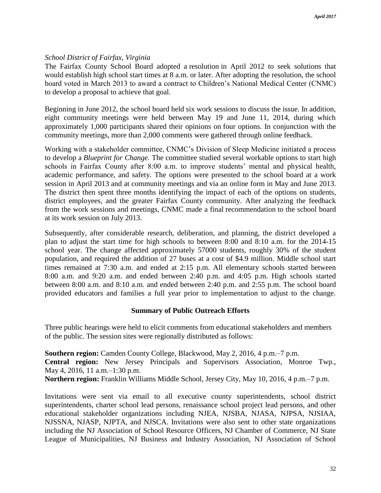## *School District of Fairfax, Virginia*

The Fairfax County School Board adopted a resolution in April 2012 to seek solutions that would establish high school start times at 8 a.m. or later. After adopting the resolution, the school board voted in March 2013 to award a contract to Children's National Medical Center (CNMC) to develop a proposal to achieve that goal.

Beginning in June 2012, the school board held six work sessions to discuss the issue. In addition, eight community meetings were held between May 19 and June 11, 2014, during which approximately 1,000 participants shared their opinions on four options. In conjunction with the community meetings, more than 2,000 comments were gathered through online feedback.

Working with a stakeholder committee, CNMC's Division of Sleep Medicine initiated a process to develop a *Blueprint for Change.* The committee studied several workable options to start high schools in Fairfax County after 8:00 a.m. to improve students' mental and physical health, academic performance, and safety. The options were presented to the school board at a work session in April 2013 and at community meetings and via an online form in May and June 2013. The district then spent three months identifying the impact of each of the options on students, district employees, and the greater Fairfax County community. After analyzing the feedback from the work sessions and meetings, CNMC made a final recommendation to the school board at its work session on July 2013.

Subsequently, after considerable research, deliberation, and planning, the district developed a plan to adjust the start time for high schools to between 8:00 and 8:10 a.m. for the 2014-15 school year. The change affected approximately 57000 students, roughly 30% of the student population, and required the addition of 27 buses at a cost of \$4.9 million. Middle school start times remained at 7:30 a.m. and ended at 2:15 p.m. All elementary schools started between 8:00 a.m. and 9:20 a.m. and ended between 2:40 p.m. and 4:05 p.m. High schools started between 8:00 a.m. and 8:10 a.m. and ended between 2:40 p.m. and 2:55 p.m. The school board provided educators and families a full year prior to implementation to adjust to the change.

## **Summary of Public Outreach Efforts**

Three public hearings were held to elicit comments from educational stakeholders and members of the public. The session sites were regionally distributed as follows:

**Southern region:** Camden County College, Blackwood, May 2, 2016, 4 p.m.–7 p.m. **Central region:** New Jersey Principals and Supervisors Association, Monroe Twp., May 4, 2016, 11 a.m.–1:30 p.m.

**Northern region:** Franklin Williams Middle School, Jersey City, May 10, 2016, 4 p.m.–7 p.m.

Invitations were sent via email to all executive county superintendents, school district superintendents, charter school lead persons, renaissance school project lead persons, and other educational stakeholder organizations including NJEA, NJSBA, NJASA, NJPSA, NJSIAA, NJSSNA, NJASP, NJPTA, and NJSCA. Invitations were also sent to other state organizations including the NJ Association of School Resource Officers, NJ Chamber of Commerce, NJ State League of Municipalities, NJ Business and Industry Association, NJ Association of School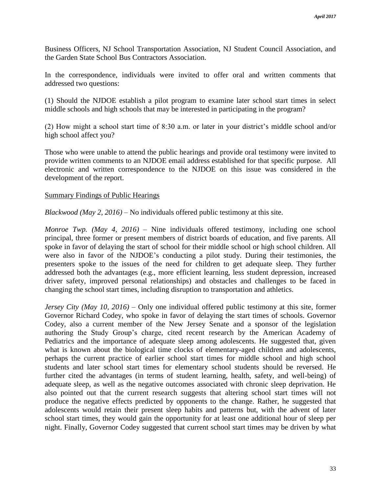Business Officers, NJ School Transportation Association, NJ Student Council Association, and the Garden State School Bus Contractors Association.

In the correspondence, individuals were invited to offer oral and written comments that addressed two questions:

(1) Should the NJDOE establish a pilot program to examine later school start times in select middle schools and high schools that may be interested in participating in the program?

(2) How might a school start time of 8:30 a.m. or later in your district's middle school and/or high school affect you?

Those who were unable to attend the public hearings and provide oral testimony were invited to provide written comments to an NJDOE email address established for that specific purpose. All electronic and written correspondence to the NJDOE on this issue was considered in the development of the report.

## Summary Findings of Public Hearings

*Blackwood (May 2, 2016)* – No individuals offered public testimony at this site.

*Monroe Twp. (May 4, 2016)* – Nine individuals offered testimony, including one school principal, three former or present members of district boards of education, and five parents. All spoke in favor of delaying the start of school for their middle school or high school children. All were also in favor of the NJDOE's conducting a pilot study. During their testimonies, the presenters spoke to the issues of the need for children to get adequate sleep. They further addressed both the advantages (e.g., more efficient learning, less student depression, increased driver safety, improved personal relationships) and obstacles and challenges to be faced in changing the school start times, including disruption to transportation and athletics.

*Jersey City (May 10, 2016)* – Only one individual offered public testimony at this site, former Governor Richard Codey, who spoke in favor of delaying the start times of schools. Governor Codey, also a current member of the New Jersey Senate and a sponsor of the legislation authoring the Study Group's charge, cited recent research by the American Academy of Pediatrics and the importance of adequate sleep among adolescents. He suggested that, given what is known about the biological time clocks of elementary-aged children and adolescents, perhaps the current practice of earlier school start times for middle school and high school students and later school start times for elementary school students should be reversed. He further cited the advantages (in terms of student learning, health, safety, and well-being) of adequate sleep, as well as the negative outcomes associated with chronic sleep deprivation. He also pointed out that the current research suggests that altering school start times will not produce the negative effects predicted by opponents to the change. Rather, he suggested that adolescents would retain their present sleep habits and patterns but, with the advent of later school start times, they would gain the opportunity for at least one additional hour of sleep per night. Finally, Governor Codey suggested that current school start times may be driven by what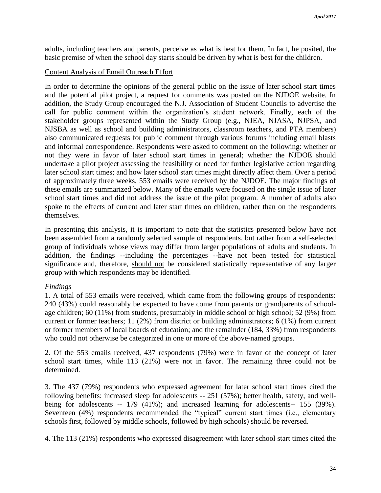adults, including teachers and parents, perceive as what is best for them. In fact, he posited, the basic premise of when the school day starts should be driven by what is best for the children.

## Content Analysis of Email Outreach Effort

In order to determine the opinions of the general public on the issue of later school start times and the potential pilot project, a request for comments was posted on the NJDOE website. In addition, the Study Group encouraged the N.J. Association of Student Councils to advertise the call for public comment within the organization's student network. Finally, each of the stakeholder groups represented within the Study Group (e.g., NJEA, NJASA, NJPSA, and NJSBA as well as school and building administrators, classroom teachers, and PTA members) also communicated requests for public comment through various forums including email blasts and informal correspondence. Respondents were asked to comment on the following: whether or not they were in favor of later school start times in general; whether the NJDOE should undertake a pilot project assessing the feasibility or need for further legislative action regarding later school start times; and how later school start times might directly affect them. Over a period of approximately three weeks, 553 emails were received by the NJDOE. The major findings of these emails are summarized below. Many of the emails were focused on the single issue of later school start times and did not address the issue of the pilot program. A number of adults also spoke to the effects of current and later start times on children, rather than on the respondents themselves.

In presenting this analysis, it is important to note that the statistics presented below have not been assembled from a randomly selected sample of respondents, but rather from a self-selected group of individuals whose views may differ from larger populations of adults and students. In addition, the findings --including the percentages --have not been tested for statistical significance and, therefore, should not be considered statistically representative of any larger group with which respondents may be identified.

## *Findings*

1. A total of 553 emails were received, which came from the following groups of respondents: 240 (43%) could reasonably be expected to have come from parents or grandparents of schoolage children; 60 (11%) from students, presumably in middle school or high school; 52 (9%) from current or former teachers; 11 (2%) from district or building administrators; 6 (1%) from current or former members of local boards of education; and the remainder (184, 33%) from respondents who could not otherwise be categorized in one or more of the above-named groups.

2. Of the 553 emails received, 437 respondents (79%) were in favor of the concept of later school start times, while 113 (21%) were not in favor. The remaining three could not be determined.

3. The 437 (79%) respondents who expressed agreement for later school start times cited the following benefits: increased sleep for adolescents -- 251 (57%); better health, safety, and wellbeing for adolescents -- 179 (41%); and increased learning for adolescents-- 155 (39%). Seventeen (4%) respondents recommended the "typical" current start times (i.e., elementary schools first, followed by middle schools, followed by high schools) should be reversed.

4. The 113 (21%) respondents who expressed disagreement with later school start times cited the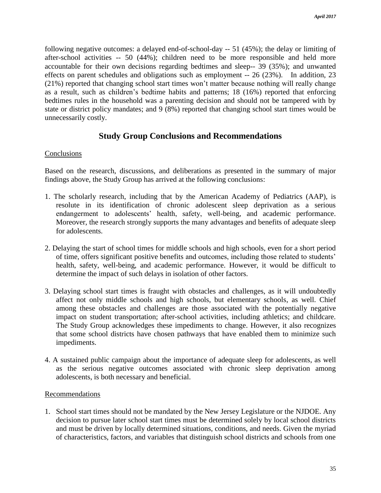following negative outcomes: a delayed end-of-school-day -- 51 (45%); the delay or limiting of after-school activities -- 50 (44%); children need to be more responsible and held more accountable for their own decisions regarding bedtimes and sleep-- 39 (35%); and unwanted effects on parent schedules and obligations such as employment -- 26 (23%). In addition, 23 (21%) reported that changing school start times won't matter because nothing will really change as a result, such as children's bedtime habits and patterns; 18 (16%) reported that enforcing bedtimes rules in the household was a parenting decision and should not be tampered with by state or district policy mandates; and 9 (8%) reported that changing school start times would be unnecessarily costly.

## **Study Group Conclusions and Recommendations**

## Conclusions

Based on the research, discussions, and deliberations as presented in the summary of major findings above, the Study Group has arrived at the following conclusions:

- 1. The scholarly research, including that by the American Academy of Pediatrics (AAP), is resolute in its identification of chronic adolescent sleep deprivation as a serious endangerment to adolescents' health, safety, well-being, and academic performance. Moreover, the research strongly supports the many advantages and benefits of adequate sleep for adolescents.
- 2. Delaying the start of school times for middle schools and high schools, even for a short period of time, offers significant positive benefits and outcomes, including those related to students' health, safety, well-being, and academic performance. However, it would be difficult to determine the impact of such delays in isolation of other factors.
- 3. Delaying school start times is fraught with obstacles and challenges, as it will undoubtedly affect not only middle schools and high schools, but elementary schools, as well. Chief among these obstacles and challenges are those associated with the potentially negative impact on student transportation; after-school activities, including athletics; and childcare. The Study Group acknowledges these impediments to change. However, it also recognizes that some school districts have chosen pathways that have enabled them to minimize such impediments.
- 4. A sustained public campaign about the importance of adequate sleep for adolescents, as well as the serious negative outcomes associated with chronic sleep deprivation among adolescents, is both necessary and beneficial.

## Recommendations

1. School start times should not be mandated by the New Jersey Legislature or the NJDOE. Any decision to pursue later school start times must be determined solely by local school districts and must be driven by locally determined situations, conditions, and needs. Given the myriad of characteristics, factors, and variables that distinguish school districts and schools from one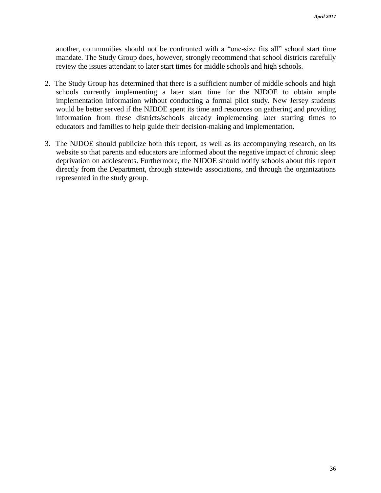another, communities should not be confronted with a "one-size fits all" school start time mandate. The Study Group does, however, strongly recommend that school districts carefully review the issues attendant to later start times for middle schools and high schools.

- 2. The Study Group has determined that there is a sufficient number of middle schools and high schools currently implementing a later start time for the NJDOE to obtain ample implementation information without conducting a formal pilot study. New Jersey students would be better served if the NJDOE spent its time and resources on gathering and providing information from these districts/schools already implementing later starting times to educators and families to help guide their decision-making and implementation.
- 3. The NJDOE should publicize both this report, as well as its accompanying research, on its website so that parents and educators are informed about the negative impact of chronic sleep deprivation on adolescents. Furthermore, the NJDOE should notify schools about this report directly from the Department, through statewide associations, and through the organizations represented in the study group.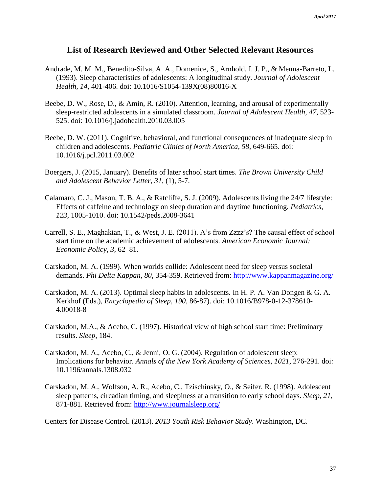## **List of Research Reviewed and Other Selected Relevant Resources**

- Andrade, M. M. M., Benedito-Silva, A. A., Domenice, S., Arnhold, I. J. P., & Menna-Barreto, L. (1993). Sleep characteristics of adolescents: A longitudinal study. *Journal of Adolescent Health, 14*, 401-406. doi: 10.1016/S1054-139X(08)80016-X
- Beebe, D. W., Rose, D., & Amin, R. (2010). Attention, learning, and arousal of experimentally sleep-restricted adolescents in a simulated classroom. *Journal of Adolescent Health, 47*, 523- 525. doi: 10.1016/j.jadohealth.2010.03.005
- Beebe, D. W. (2011). Cognitive, behavioral, and functional consequences of inadequate sleep in children and adolescents. *Pediatric Clinics of North America, 58*, 649-665. doi: 10.1016/j.pcl.2011.03.002
- Boergers, J. (2015, January). Benefits of later school start times. *The Brown University Child and Adolescent Behavior Letter, 31,* (1), 5-7.
- Calamaro, C. J., Mason, T. B. A., & Ratcliffe, S. J. (2009). Adolescents living the 24/7 lifestyle: Effects of caffeine and technology on sleep duration and daytime functioning. *Pediatrics, 123*, 1005-1010. doi: 10.1542/peds.2008-3641
- Carrell, S. E., Maghakian, T., & West, J. E. (2011). A's from Zzzz's? The causal effect of school start time on the academic achievement of adolescents. *American Economic Journal: Economic Policy*, *3*, 62–81.
- Carskadon, M. A. (1999). When worlds collide: Adolescent need for sleep versus societal demands. *Phi Delta Kappan, 80*, 354-359. Retrieved from:<http://www.kappanmagazine.org/>
- Carskadon, M. A. (2013). Optimal sleep habits in adolescents. In H. P. A. Van Dongen & G. A. Kerkhof (Eds.), *Encyclopedia of Sleep, 190,* 86-87). doi: 10.1016/B978-0-12-378610- 4.00018-8
- Carskadon, M.A., & Acebo, C. (1997). Historical view of high school start time: Preliminary results. *Sleep*, 184.
- Carskadon, M. A., Acebo, C., & Jenni, O. G. (2004). Regulation of adolescent sleep: Implications for behavior. *Annals of the New York Academy of Sciences, 1021*, 276-291. doi: 10.1196/annals.1308.032
- Carskadon, M. A., Wolfson, A. R., Acebo, C., Tzischinsky, O., & Seifer, R. (1998). Adolescent sleep patterns, circadian timing, and sleepiness at a transition to early school days. *Sleep, 21*, 871-881. Retrieved from:<http://www.journalsleep.org/>

Centers for Disease Control. (2013). *2013 Youth Risk Behavior Study*. Washington, DC.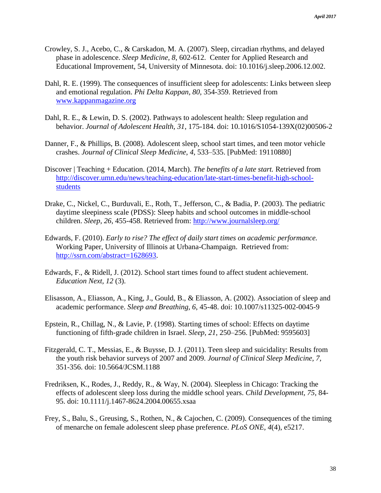- Crowley, S. J., Acebo, C., & Carskadon, M. A. (2007). Sleep, circadian rhythms, and delayed phase in adolescence. *Sleep Medicine, 8*, 602-612. Center for Applied Research and Educational Improvement, 54, University of Minnesota. doi: 10.1016/j.sleep.2006.12.002.
- Dahl, R. E. (1999). The consequences of insufficient sleep for adolescents: Links between sleep and emotional regulation. *Phi Delta Kappan, 80,* 354-359. Retrieved from [www.kappanmagazine.org](http://www.kappanmagazine.org/)
- Dahl, R. E., & Lewin, D. S. (2002). Pathways to adolescent health: Sleep regulation and behavior. *Journal of Adolescent Health, 31*, 175-184. doi: 10.1016/S1054-139X(02)00506-2
- Danner, F., & Phillips, B. (2008). Adolescent sleep, school start times, and teen motor vehicle crashes. *Journal of Clinical Sleep Medicine*, *4*, 533–535. [PubMed: 19110880]
- Discover | Teaching + Education. (2014, March). *The benefits of a late start.* Retrieved from [http://discover.umn.edu/news/teaching-education/late-start-times-benefit-high-school](http://discover.umn.edu/news/teaching-education/late-start-times-benefit-high-school-students)[students](http://discover.umn.edu/news/teaching-education/late-start-times-benefit-high-school-students)
- Drake, C., Nickel, C., Burduvali, E., Roth, T., Jefferson, C., & Badia, P. (2003). The pediatric daytime sleepiness scale (PDSS): Sleep habits and school outcomes in middle-school children. *Sleep*, *26*, 455-458. Retrieved from:<http://www.journalsleep.org/>
- Edwards, F. (2010). *Early to rise? The effect of daily start times on academic performance.* Working Paper, University of Illinois at Urbana-Champaign. Retrieved from: [http://ssrn.com/abstract=1628693.](http://ssrn.com/abstract=1628693)
- Edwards, F., & Ridell, J. (2012). School start times found to affect student achievement. *Education Next, 12* (3).
- Elisasson, A., Eliasson, A., King, J., Gould, B., & Eliasson, A. (2002). Association of sleep and academic performance. *Sleep and Breathing, 6*, 45-48. doi: 10.1007/s11325-002-0045-9
- Epstein, R., Chillag, N., & Lavie, P. (1998). Starting times of school: Effects on daytime functioning of fifth-grade children in Israel. *Sleep*, *21*, 250–256. [PubMed: 9595603]
- Fitzgerald, C. T., Messias, E., & Buysse, D. J. (2011). Teen sleep and suicidality: Results from the youth risk behavior surveys of 2007 and 2009. *Journal of Clinical Sleep Medicine, 7,*  351-356. doi: 10.5664/JCSM.1188
- Fredriksen, K., Rodes, J., Reddy, R., & Way, N. (2004). Sleepless in Chicago: Tracking the effects of adolescent sleep loss during the middle school years. *Child Development, 75*, 84- 95. doi: 10.1111/j.1467-8624.2004.00655.xsaa
- Frey, S., Balu, S., Greusing, S., Rothen, N., & Cajochen, C. (2009). Consequences of the timing of menarche on female adolescent sleep phase preference. *PLoS ONE, 4*(4), e5217.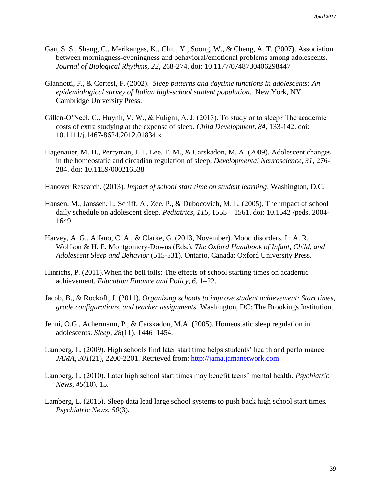- Gau, S. S., Shang, C., Merikangas, K., Chiu, Y., Soong, W., & Cheng, A. T. (2007). Association between morningness-eveningness and behavioral/emotional problems among adolescents. *Journal of Biological Rhythms, 22*, 268-274. doi: 10.1177/0748730406298447
- Giannotti, F., & Cortesi, F. (2002). *Sleep patterns and daytime functions in adolescents: An epidemiological survey of Italian high-school student population.* New York, NY Cambridge University Press.
- Gillen-O'Neel, C., Huynh, V. W., & Fuligni, A. J. (2013). To study or to sleep? The academic costs of extra studying at the expense of sleep. *Child Development, 84*, 133-142. doi: 10.1111/j.1467-8624.2012.01834.x
- Hagenauer, M. H., Perryman, J. I., Lee, T. M., & Carskadon, M. A. (2009). Adolescent changes in the homeostatic and circadian regulation of sleep. *Developmental Neuroscience*, *31*, 276- 284. doi: 10.1159/000216538
- Hanover Research. (2013). *Impact of school start time on student learning*. Washington, D.C.
- Hansen, M., Janssen, I., Schiff, A., Zee, P., & Dubocovich, M. L. (2005). The impact of school daily schedule on adolescent sleep. *Pediatrics, 115*, 1555 – 1561. doi: 10.1542 /peds. 2004- 1649
- Harvey, A. G., Alfano, C. A., & Clarke, G. (2013, November). Mood disorders. In A. R. Wolfson & H. E. Montgomery-Downs (Eds.), *The Oxford Handbook of Infant, Child, and Adolescent Sleep and Behavior* (515-531). Ontario, Canada: Oxford University Press.
- Hinrichs, P. (2011).When the bell tolls: The effects of school starting times on academic achievement. *Education Finance and Policy*, *6*, 1–22.
- Jacob, B., & Rockoff, J. (2011). *Organizing schools to improve student achievement: Start times, grade configurations, and teacher assignments.* Washington, DC: The Brookings Institution.
- Jenni, O.G., Achermann, P., & Carskadon, M.A. (2005). Homeostatic sleep regulation in adolescents. *Sleep, 28*(11), 1446–1454.
- Lamberg, L. (2009). High schools find later start time helps students' health and performance. *JAMA, 301*(21), 2200-2201. Retrieved from: [http://jama.jamanetwork.com.](http://jama.jamanetwork.com/)
- Lamberg, L. (2010). Later high school start times may benefit teens' mental health. *Psychiatric News*, *45*(10), 15.
- Lamberg, L. (2015). Sleep data lead large school systems to push back high school start times. *Psychiatric News*, *50*(3).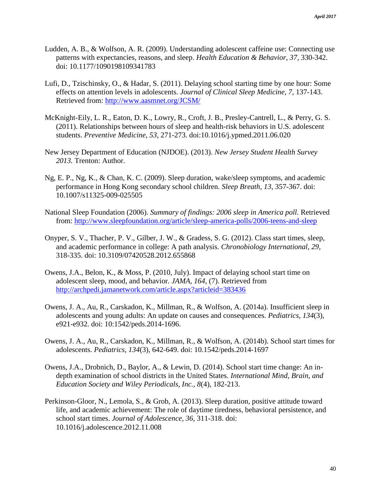- Ludden, A. B., & Wolfson, A. R. (2009). Understanding adolescent caffeine use: Connecting use patterns with expectancies, reasons, and sleep. *Health Education & Behavior, 37*, 330-342. doi: 10.1177/1090198109341783
- Lufi, D., Tzischinsky, O., & Hadar, S. (2011). Delaying school starting time by one hour: Some effects on attention levels in adolescents. *Journal of Clinical Sleep Medicine, 7*, 137-143. Retrieved from:<http://www.aasmnet.org/JCSM/>
- McKnight-Eily, L. R., Eaton, D. K., Lowry, R., Croft, J. B., Presley-Cantrell, L., & Perry, G. S. (2011). Relationships between hours of sleep and health-risk behaviors in U.S. adolescent students. *Preventive Medicine, 53,* 271-273. doi:10.1016/j.ypmed.2011.06.020
- New Jersey Department of Education (NJDOE). (2013). *New Jersey Student Health Survey 2013.* Trenton: Author.
- Ng, E. P., Ng, K., & Chan, K. C. (2009). Sleep duration, wake/sleep symptoms, and academic performance in Hong Kong secondary school children. *Sleep Breath, 13*, 357-367. doi: 10.1007/s11325-009-025505
- National Sleep Foundation (2006). *Summary of findings: 2006 sleep in America poll.* Retrieved from:<http://www.sleepfoundation.org/article/sleep-america-polls/2006-teens-and-sleep>
- Onyper, S. V., Thacher, P. V., Gilber, J. W., & Gradess, S. G. (2012). Class start times, sleep, and academic performance in college: A path analysis. *Chronobiology International, 29*, 318-335. doi: 10.3109/07420528.2012.655868
- Owens, J.A., Belon, K., & Moss, P. (2010, July). Impact of delaying school start time on adolescent sleep, mood, and behavior. *JAMA, 164,* (7). Retrieved from <http://archpedi.jamanetwork.com/article.aspx?articleid=383436>
- Owens, J. A., Au, R., Carskadon, K., Millman, R., & Wolfson, A. (2014a). Insufficient sleep in adolescents and young adults: An update on causes and consequences. *Pediatrics*, *134*(3), e921-e932. doi: 10:1542/peds.2014-1696.
- Owens, J. A., Au, R., Carskadon, K., Millman, R., & Wolfson, A. (2014b). School start times for adolescents. *Pediatrics*, *134*(3), 642-649. doi: 10.1542/peds.2014-1697
- Owens, J.A., Drobnich, D., Baylor, A., & Lewin, D. (2014). School start time change: An indepth examination of school districts in the United States*. International Mind, Brain, and Education Society and Wiley Periodicals, Inc., 8*(4), 182-213.
- Perkinson-Gloor, N., Lemola, S., & Grob, A. (2013). Sleep duration, positive attitude toward life, and academic achievement: The role of daytime tiredness, behavioral persistence, and school start times. *Journal of Adolescence, 36,* 311-318. doi: 10.1016/j.adolescence.2012.11.008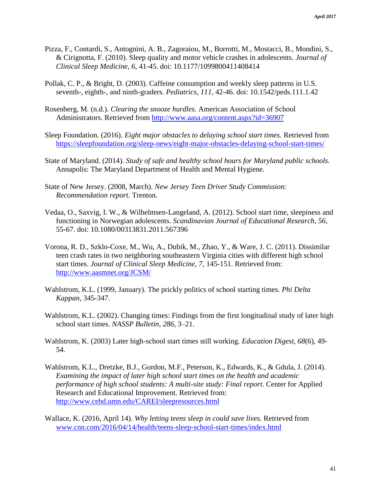- Pizza, F., Contardi, S., Antognini, A. B., Zagoraiou, M., Borrotti, M., Mostacci, B., Mondini, S., & Cirignotta, F. (2010). Sleep quality and motor vehicle crashes in adolescents. *Journal of Clinical Sleep Medicine, 6*, 41-45. doi: 10.1177/1099800411408414
- Pollak, C. P., & Bright, D. (2003). Caffeine consumption and weekly sleep patterns in U.S. seventh-, eighth-, and ninth-graders. *Pediatrics, 111,* 42-46. doi: 10.1542/peds.111.1.42
- Rosenberg, M. (n.d.). *Clearing the snooze hurdles.* American Association of School Administrators. Retrieved from<http://www.aasa.org/content.aspx?id=36907>
- Sleep Foundation. (2016). *Eight major obstacles to delaying school start times.* Retrieved from <https://sleepfoundation.org/sleep-news/eight-major-obstacles-delaying-school-start-times/>
- State of Maryland. (2014). *Study of safe and healthy school hours for Maryland public schools.*  Annapolis: The Maryland Department of Health and Mental Hygiene.
- State of New Jersey. (2008, March). *New Jersey Teen Driver Study Commission: Recommendation report.* Trenton.
- Vedaa, O., Saxvig, I. W., & Wilhelmsen-Langeland, A. (2012). School start time, sleepiness and functioning in Norwegian adolescents. *Scandinavian Journal of Educational Research, 56,*  55-67. doi: 10.1080/00313831.2011.567396
- Vorona, R. D., Szklo-Coxe, M., Wu, A., Dubik, M., Zhao, Y., & Ware, J. C. (2011). Dissimilar teen crash rates in two neighboring southeastern Virginia cities with different high school start times. *Journal of Clinical Sleep Medicine, 7*, 145-151. Retrieved from: <http://www.aasmnet.org/JCSM/>
- Wahlstrom, K.L. (1999, January). The prickly politics of school starting times. *Phi Delta Kappan,* 345-347.
- Wahlstrom, K.L. (2002). Changing times: Findings from the first longitudinal study of later high school start times. *NASSP Bulletin*, *286*, 3–21.
- Wahlstrom, K. (2003) Later high-school start times still working. *Education Digest, 68*(6), 49- 54.
- Wahlstrom, K.L., Dretzke, B.J., Gordon, M.F., Peterson, K., Edwards, K., & Gdula, J. (2014). *Examining the impact of later high school start times on the health and academic performance of high school students: A multi-site study: Final report*. Center for Applied Research and Educational Improvement. Retrieved from: <http://www.cehd.umn.edu/CAREI/sleepresources.html>
- Wallace, K. (2016, April 14). *Why letting teens sleep in could save lives.* Retrieved from [www.cnn.com/2016/04/14/health/teens-sleep-school-start-times/index.html](http://www.cnn.com/2016/04/14/health/teens-sleep-school-start-times/index.html)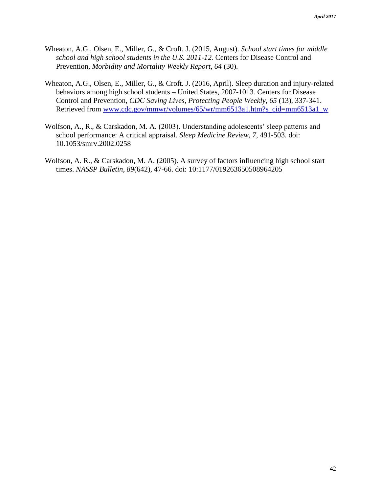- Wheaton, A.G., Olsen, E., Miller, G., & Croft. J. (2015, August). *School start times for middle school and high school students in the U.S. 2011-12.* Centers for Disease Control and Prevention, *Morbidity and Mortality Weekly Report, 64* (30).
- Wheaton, A.G., Olsen, E., Miller, G., & Croft. J. (2016, April). Sleep duration and injury-related behaviors among high school students – United States, 2007-1013*.* Centers for Disease Control and Prevention, *CDC Saving Lives, Protecting People Weekly, 65* (13), 337-341. Retrieved from [www.cdc.gov/mmwr/volumes/65/wr/mm6513a1.htm?s\\_cid=mm6513a1\\_w](http://www.cdc.gov/mmwr/volumes/65/wr/mm6513a1.htm?s_cid=mm6513a1_w)
- Wolfson, A., R., & Carskadon, M. A. (2003). Understanding adolescents' sleep patterns and school performance: A critical appraisal. *Sleep Medicine Review, 7*, 491-503. doi: 10.1053/smrv.2002.0258
- Wolfson, A. R., & Carskadon, M. A. (2005). A survey of factors influencing high school start times. *NASSP Bulletin, 89*(642), 47-66. doi: 10:1177/019263650508964205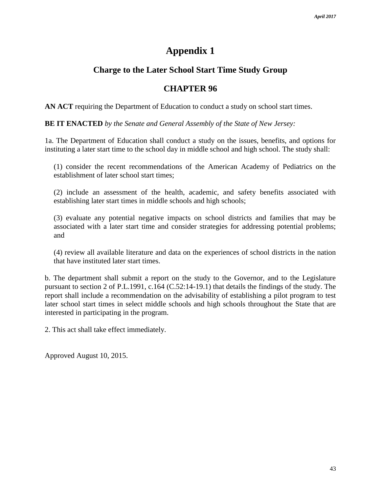# **Appendix 1**

# **Charge to the Later School Start Time Study Group**

# **CHAPTER 96**

**AN ACT** requiring the Department of Education to conduct a study on school start times.

**BE IT ENACTED** *by the Senate and General Assembly of the State of New Jersey:* 

1a. The Department of Education shall conduct a study on the issues, benefits, and options for instituting a later start time to the school day in middle school and high school. The study shall:

(1) consider the recent recommendations of the American Academy of Pediatrics on the establishment of later school start times;

(2) include an assessment of the health, academic, and safety benefits associated with establishing later start times in middle schools and high schools;

(3) evaluate any potential negative impacts on school districts and families that may be associated with a later start time and consider strategies for addressing potential problems; and

(4) review all available literature and data on the experiences of school districts in the nation that have instituted later start times.

b. The department shall submit a report on the study to the Governor, and to the Legislature pursuant to section 2 of P.L.1991, c.164 (C.52:14-19.1) that details the findings of the study. The report shall include a recommendation on the advisability of establishing a pilot program to test later school start times in select middle schools and high schools throughout the State that are interested in participating in the program.

2. This act shall take effect immediately.

Approved August 10, 2015.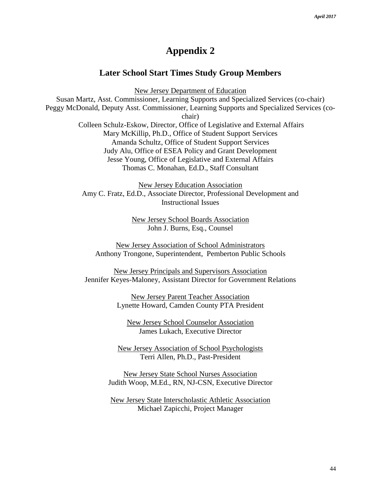# **Appendix 2**

## **Later School Start Times Study Group Members**

New Jersey Department of Education

Susan Martz, Asst. Commissioner, Learning Supports and Specialized Services (co-chair) Peggy McDonald, Deputy Asst. Commissioner, Learning Supports and Specialized Services (cochair) Colleen Schulz-Eskow, Director, Office of Legislative and External Affairs Mary McKillip, Ph.D., Office of Student Support Services Amanda Schultz, Office of Student Support Services Judy Alu, Office of ESEA Policy and Grant Development Jesse Young, Office of Legislative and External Affairs Thomas C. Monahan, Ed.D., Staff Consultant

> New Jersey Education Association Amy C. Fratz, Ed.D., Associate Director, Professional Development and Instructional Issues

> > New Jersey School Boards Association John J. Burns, Esq., Counsel

New Jersey Association of School Administrators Anthony Trongone, Superintendent, Pemberton Public Schools

New Jersey Principals and Supervisors Association Jennifer Keyes-Maloney, Assistant Director for Government Relations

> New Jersey Parent Teacher Association Lynette Howard, Camden County PTA President

New Jersey School Counselor Association James Lukach, Executive Director

New Jersey Association of School Psychologists Terri Allen, Ph.D., Past-President

New Jersey State School Nurses Association Judith Woop, M.Ed., RN, NJ-CSN, Executive Director

New Jersey State Interscholastic Athletic Association Michael Zapicchi, Project Manager